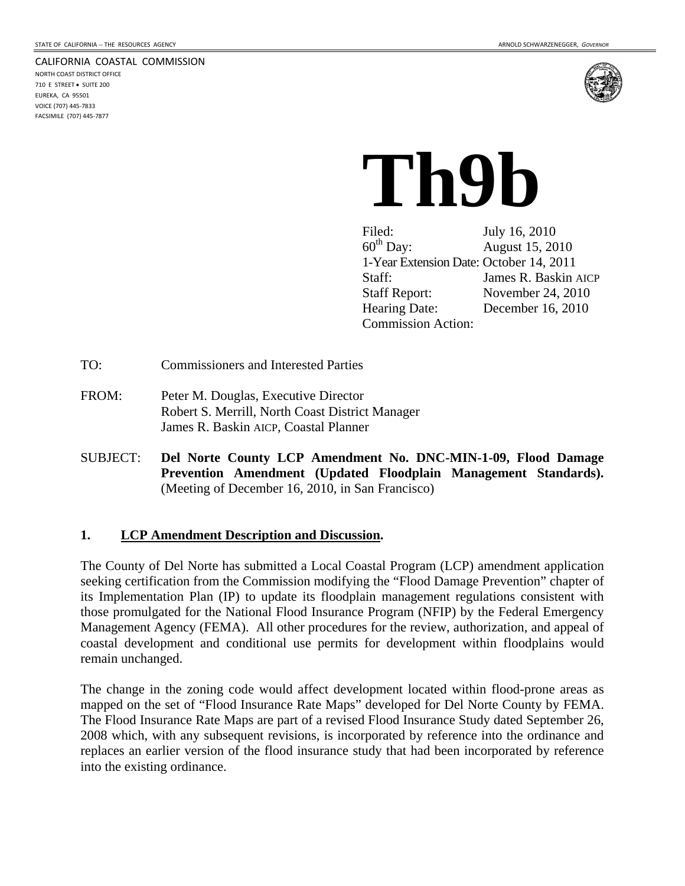#### CALIFORNIA COASTAL COMMISSION

NORTH COAST DISTRICT OFFICE 710 E STREET · SUITE 200 EUREKA, CA 95501 VOICE (707) 445‐7833 FACSIMILE (707) 445‐7877



# **Th9b**

Filed: July 16, 2010<br>60<sup>th</sup> Day: August 15, 20 August 15, 2010 1-Year Extension Date: October 14, 2011 Staff: James R. Baskin AICP Staff Report: November 24, 2010 Hearing Date: December 16, 2010 Commission Action:

TO: Commissioners and Interested Parties

- FROM: Peter M. Douglas, Executive Director Robert S. Merrill, North Coast District Manager James R. Baskin AICP, Coastal Planner
- SUBJECT: **Del Norte County LCP Amendment No. DNC-MIN-1-09, Flood Damage Prevention Amendment (Updated Floodplain Management Standards).** (Meeting of December 16, 2010, in San Francisco)

## **1. LCP Amendment Description and Discussion.**

The County of Del Norte has submitted a Local Coastal Program (LCP) amendment application seeking certification from the Commission modifying the "Flood Damage Prevention" chapter of its Implementation Plan (IP) to update its floodplain management regulations consistent with those promulgated for the National Flood Insurance Program (NFIP) by the Federal Emergency Management Agency (FEMA). All other procedures for the review, authorization, and appeal of coastal development and conditional use permits for development within floodplains would remain unchanged.

The change in the zoning code would affect development located within flood-prone areas as mapped on the set of "Flood Insurance Rate Maps" developed for Del Norte County by FEMA. The Flood Insurance Rate Maps are part of a revised Flood Insurance Study dated September 26, 2008 which, with any subsequent revisions, is incorporated by reference into the ordinance and replaces an earlier version of the flood insurance study that had been incorporated by reference into the existing ordinance.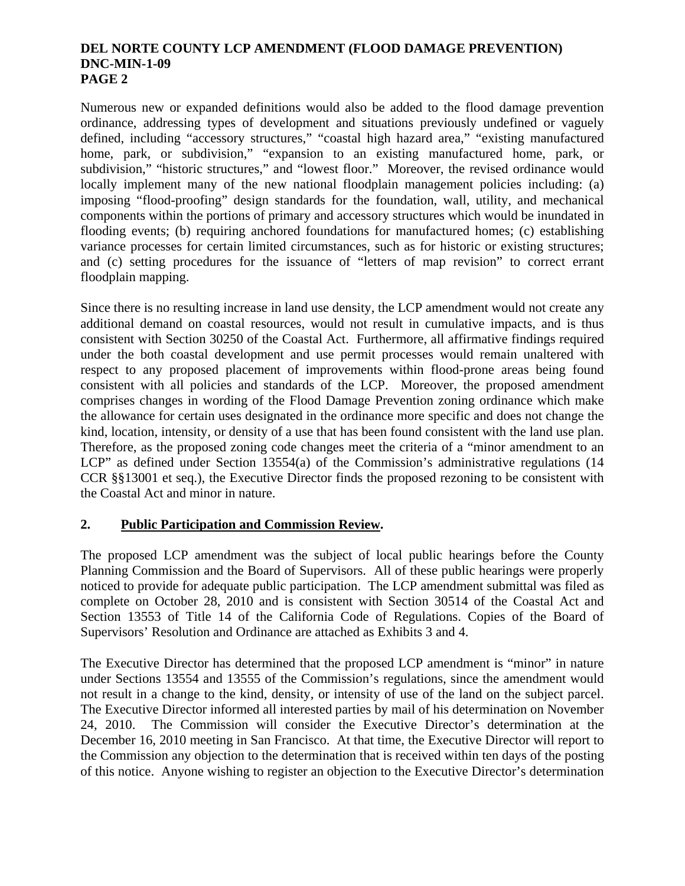# **DEL NORTE COUNTY LCP AMENDMENT (FLOOD DAMAGE PREVENTION) DNC-MIN-1-09 PAGE 2**

Numerous new or expanded definitions would also be added to the flood damage prevention ordinance, addressing types of development and situations previously undefined or vaguely defined, including "accessory structures," "coastal high hazard area," "existing manufactured home, park, or subdivision," "expansion to an existing manufactured home, park, or subdivision," "historic structures," and "lowest floor." Moreover, the revised ordinance would locally implement many of the new national floodplain management policies including: (a) imposing "flood-proofing" design standards for the foundation, wall, utility, and mechanical components within the portions of primary and accessory structures which would be inundated in flooding events; (b) requiring anchored foundations for manufactured homes; (c) establishing variance processes for certain limited circumstances, such as for historic or existing structures; and (c) setting procedures for the issuance of "letters of map revision" to correct errant floodplain mapping.

Since there is no resulting increase in land use density, the LCP amendment would not create any additional demand on coastal resources, would not result in cumulative impacts, and is thus consistent with Section 30250 of the Coastal Act. Furthermore, all affirmative findings required under the both coastal development and use permit processes would remain unaltered with respect to any proposed placement of improvements within flood-prone areas being found consistent with all policies and standards of the LCP. Moreover, the proposed amendment comprises changes in wording of the Flood Damage Prevention zoning ordinance which make the allowance for certain uses designated in the ordinance more specific and does not change the kind, location, intensity, or density of a use that has been found consistent with the land use plan. Therefore, as the proposed zoning code changes meet the criteria of a "minor amendment to an LCP" as defined under Section 13554(a) of the Commission's administrative regulations (14 CCR §§13001 et seq.), the Executive Director finds the proposed rezoning to be consistent with the Coastal Act and minor in nature.

# **2. Public Participation and Commission Review.**

The proposed LCP amendment was the subject of local public hearings before the County Planning Commission and the Board of Supervisors. All of these public hearings were properly noticed to provide for adequate public participation. The LCP amendment submittal was filed as complete on October 28, 2010 and is consistent with Section 30514 of the Coastal Act and Section 13553 of Title 14 of the California Code of Regulations. Copies of the Board of Supervisors' Resolution and Ordinance are attached as Exhibits 3 and 4.

The Executive Director has determined that the proposed LCP amendment is "minor" in nature under Sections 13554 and 13555 of the Commission's regulations, since the amendment would not result in a change to the kind, density, or intensity of use of the land on the subject parcel. The Executive Director informed all interested parties by mail of his determination on November 24, 2010. The Commission will consider the Executive Director's determination at the December 16, 2010 meeting in San Francisco. At that time, the Executive Director will report to the Commission any objection to the determination that is received within ten days of the posting of this notice. Anyone wishing to register an objection to the Executive Director's determination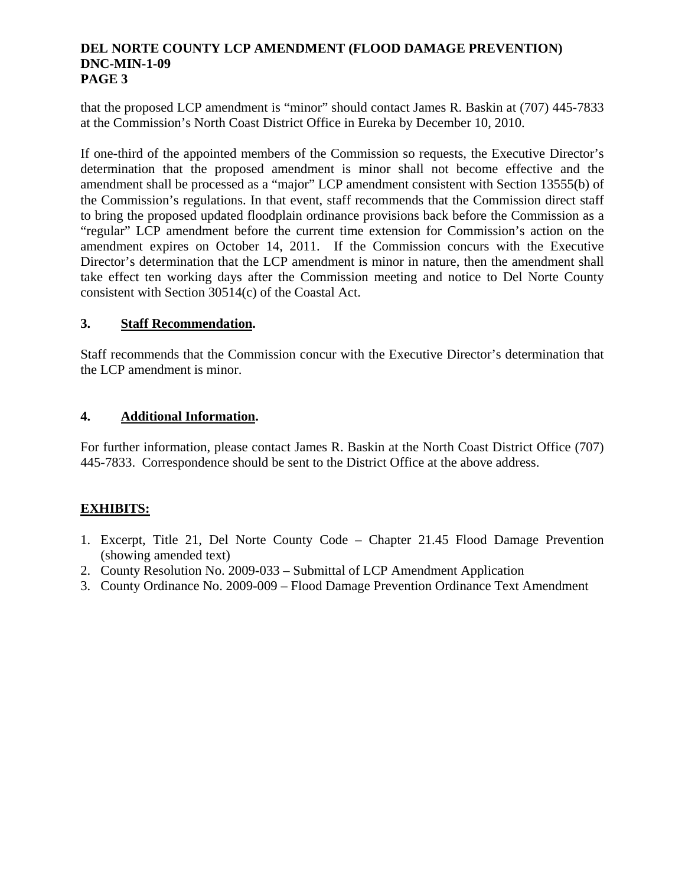# **DEL NORTE COUNTY LCP AMENDMENT (FLOOD DAMAGE PREVENTION) DNC-MIN-1-09 PAGE 3**

that the proposed LCP amendment is "minor" should contact James R. Baskin at (707) 445-7833 at the Commission's North Coast District Office in Eureka by December 10, 2010.

If one-third of the appointed members of the Commission so requests, the Executive Director's determination that the proposed amendment is minor shall not become effective and the amendment shall be processed as a "major" LCP amendment consistent with Section 13555(b) of the Commission's regulations. In that event, staff recommends that the Commission direct staff to bring the proposed updated floodplain ordinance provisions back before the Commission as a "regular" LCP amendment before the current time extension for Commission's action on the amendment expires on October 14, 2011. If the Commission concurs with the Executive Director's determination that the LCP amendment is minor in nature, then the amendment shall take effect ten working days after the Commission meeting and notice to Del Norte County consistent with Section 30514(c) of the Coastal Act.

# **3. Staff Recommendation.**

Staff recommends that the Commission concur with the Executive Director's determination that the LCP amendment is minor.

# **4. Additional Information.**

For further information, please contact James R. Baskin at the North Coast District Office (707) 445-7833. Correspondence should be sent to the District Office at the above address.

# **EXHIBITS:**

- 1. Excerpt, Title 21, Del Norte County Code Chapter 21.45 Flood Damage Prevention (showing amended text)
- 2. County Resolution No. 2009-033 Submittal of LCP Amendment Application
- 3. County Ordinance No. 2009-009 Flood Damage Prevention Ordinance Text Amendment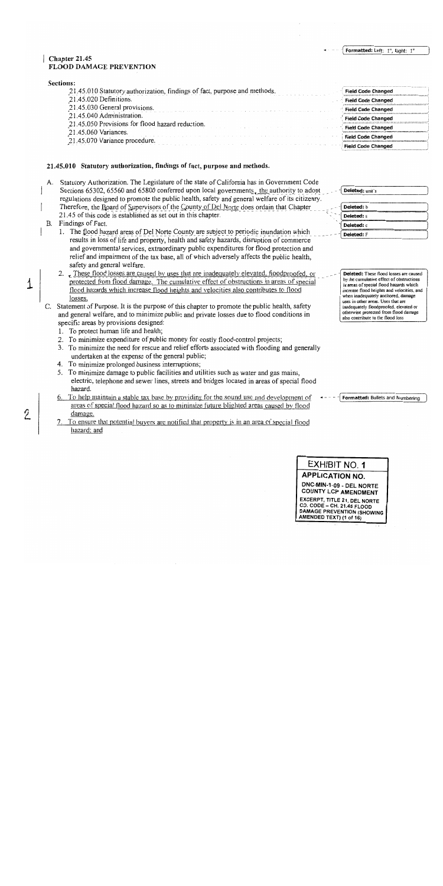#### Formatted: Left: 1", Right: 1"

#### $\vert$  Chapter 21.45 **FLOOD DAMAGE PREVENTION**

| 21.45.010 Statutory authorization, findings of fact, purpose and methods. | <b>Field Code Changed</b> |
|---------------------------------------------------------------------------|---------------------------|
| 21.45.020 Definitions.                                                    | <b>Field Code Changed</b> |
| 21.45.030 General provisions.                                             | <b>Field Code Changed</b> |
| 21.45.040 Administration.                                                 | <b>Field Code Changed</b> |
| 21.45.050 Provisions for flood hazard reduction.                          | <b>Field Code Changed</b> |
| 21.45.060 Variances.                                                      | <b>Field Code Changed</b> |
| 21.45.070 Variance procedure.                                             |                           |
|                                                                           | <b>Field Code Changed</b> |

#### 21.45.010 Statutory authorization, findings of fact, purpose and methods.

A. Statutory Authorization. The Legislature of the state of California has in Government Code Sections 65302, 65560 and 65800 conferred upon local governments, the authority to adopt regulations designed to promote the public health, safety and general welfare of its citizenry. Therefore, the Board of Supervisors of the County of Del Norte does ordain that Chapter

- 21.45 of this code is established as set out in this chapter.
- B. Findings of Fact.

 $\overline{1}$ 

2

- 1. The flood hazard areas of Del Norte County are subject to periodic inundation which results in loss of life and property, health and safety hazards, disruption of commerce and governmental services, extraordinary public expenditures for flood protection and relief and impairment of the tax base, all of which adversely affects the public health, safety and general welfare.
- 2. These flood losses are caused by uses that are inadequately elevated, floodproofed, or protected from flood damage. The cumulative effect of obstructions in areas of special flood hazards which increase flood heights and velocities also contributes to flood losses.
- C. Statement of Purpose. It is the purpose of this chapter to promote the public health, safety and general welfare, and to minimize public and private losses due to flood conditions in specific areas by provisions designed:
	- 1. To protect human life and health;
	- 2. To minimize expenditure of public money for costly flood-control projects;
	- 3. To minimize the need for rescue and relief efforts associated with flooding and generally undertaken at the expense of the general public;
	- 4. To minimize prolonged business interruptions;
	- 5. To minimize damage to public facilities and utilities such as water and gas mains, electric, telephone and sewer lines, streets and bridges located in areas of special flood hazard.
	- 6. To help maintain a stable tax base by providing for the sound use and development of areas of special flood hazard so as to minimize future blighted areas caused by flood damage.
	- To ensure that potential buyers are notified that property is in an area of special flood hazard; and

| Deleted: unit's   |
|-------------------|
| Deleted: b        |
| Deleted: s        |
| Deleted: c        |
| <b>Deleted:</b> F |

Deleted: These flood losses are caused by the cumulative effect of obstructions in areas of special flood hazards which increase flood heights and velocities, and when inadequately anchored, damage uses in other areas. Uses that are inadequately floodproofed, elevated or otherwise protected from flood damage also contribute to the flood loss

Formatted: Bullets and Numbering

# EXHIBIT NO. 1 **APPLICATION NO.**

DNC-MIN-1-09 - DEL NORTE **COUNTY LCP AMENDMENT** EXCERPT, TITLE 21, DEL NORTE CO. CODE - CH. 21.45 FLOOD **DAMAGE PREVENTION (SHOWING** AMENDED TEXT) (1 of 16)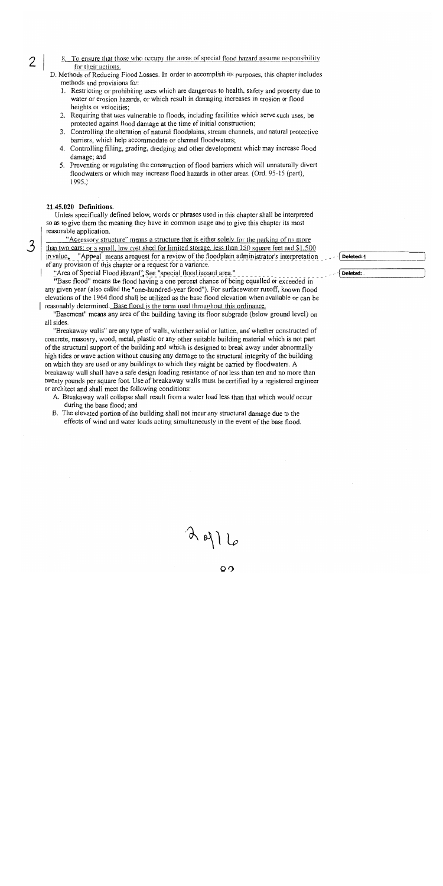- 8. To ensure that those who occupy the areas of special flood hazard assume responsibility for their actions.
- D. Methods of Reducing Flood Losses. In order to accomplish its purposes, this chapter includes methods and provisions for:
	- 1. Restricting or prohibiting uses which are dangerous to health, safety and property due to water or erosion hazards, or which result in damaging increases in erosion or flood heights or velocities;
	- 2. Requiring that uses vulnerable to floods, including facilities which serve such uses, be protected against flood damage at the time of initial construction;
	- 3. Controlling the alteration of natural floodplains, stream channels, and natural protective barriers, which help accommodate or channel floodwaters;
	- 4. Controlling filling, grading, dredging and other development which may increase flood damage; and
	- 5. Preventing or regulating the construction of flood barriers which will unnaturally divert floodwaters or which may increase flood hazards in other areas. (Ord. 95-15 (part),  $1995.$

#### 21.45.020 Definitions.

Unless specifically defined below, words or phrases used in this chapter shall be interpreted so as to give them the meaning they have in common usage and to give this chapter its most reasonable application.

"Accessory structure" means a structure that is either solely for the parking of no more than two cars; or a small, low cost shed for limited storage, less than 150 square feet and \$1,500 in value, "Appeal" means a request for a review of the floodplain administrator's interpretation of any provision of this chapter or a request for a variance.

"Area of Special Flood Hazard" See "special flood hazard area."

"Base flood" means the flood having a one percent chance of being equalled or exceeded in any given year (also called the "one-hundred-year flood"). For surfacewater runoff, known flood elevations of the 1964 flood shall be utilized as the base flood elevation when available or can be reasonably determined. Base flood is the term used throughout this ordinance.

"Basement" means any area of the building having its floor subgrade (below ground level) on all sides.

"Breakaway walls" are any type of walls, whether solid or lattice, and whether constructed of concrete, masonry, wood, metal, plastic or any other suitable building material which is not part of the structural support of the building and which is designed to break away under abnormally high tides or wave action without causing any damage to the structural integrity of the building on which they are used or any buildings to which they might be carried by floodwaters. A breakaway wall shall have a safe design loading resistance of not less than ten and no more than twenty pounds per square foot. Use of breakaway walls must be certified by a registered engineer or architect and shall meet the following conditions:

- A. Breakaway wall collapse shall result from a water load less than that which would occur during the base flood; and
- B. The elevated portion of the building shall not incur any structural damage due to the effects of wind and water loads acting simultaneously in the event of the base flood.

 $3916$ 

 $\circ$ 

Deleted: 1

Deleted:

 $\mathfrak{Z}$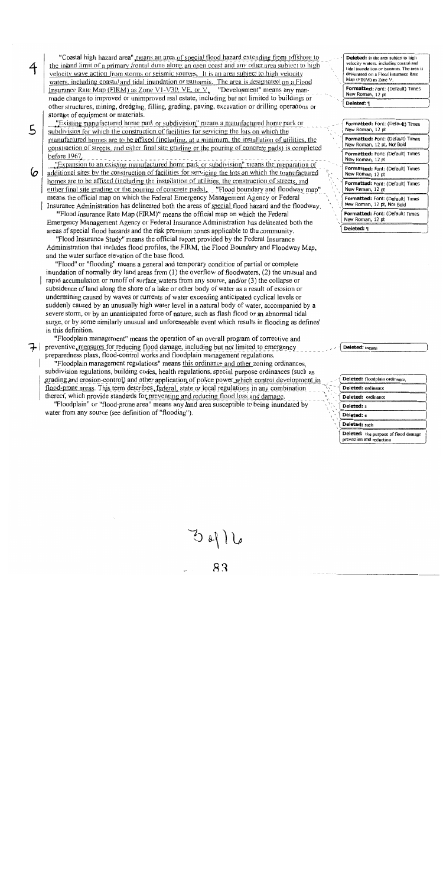"Coastal high hazard area" means an area of special flood hazard extending from offshore to the inland limit of a primary frontal dune along an open coast and any other area subject to high velocity wave action from storms or seismic sources. It is an area subject to high velocity waters, including coastal and tidal inundation or tsunamis. The area is designated on a Flood Insurance Rate Map (FIRM) as Zone V1-V30, VE, or  $V<sub>r</sub>$ "Development" means any manmade change to improved or unimproved real estate, including but not limited to buildings or other structures, mining, dredging, filling, grading, paving, excavation or drilling operations or storage of equipment or materials.

"Existing manufactured home park or subdivision" means a manufactured home park or subdivision for which the construction of facilities for servicing the lots on which the manufactured homes are to be affixed (including, at a minimum, the installation of utilities, the construction of streets, and either final site grading or the pouring of concrete pads) is completed before 1967.

5

6

"Expansion to an existing manufactured home park or subdivision" means the preparation of additional sites by the construction of facilities for servicing the lots on which the manufactured homes are to be affixed (including the installation of utilities, the construction of streets, and either final site grading or the pouring of concrete pads), "Flood boundary and floodway map" means the official map on which the Federal Emergency Management Agency or Federal

Insurance Administration has delineated both the areas of special flood hazard and the floodway. "Flood Insurance Rate Map (FIRM)" means the official map on which the Federal Emergency Management Agency or Federal Insurance Administration has delineated both the areas of special flood hazards and the risk premium zones applicable to the community.

"Flood Insurance Study" means the official report provided by the Federal Insurance Administration that includes flood profiles, the FIRM, the Flood Boundary and Floodway Map, and the water surface elevation of the base flood.

"Flood" or "flooding" means a general and temporary condition of partial or complete inundation of normally dry land areas from  $(1)$  the overflow of floodwaters,  $(2)$  the unusual and rapid accumulation or runoff of surface waters from any source, and/or (3) the collapse or subsidence of land along the shore of a lake or other body of water as a result of erosion or undermining caused by waves or currents of water exceeding anticipated cyclical levels or suddenly caused by an unusually high water level in a natural body of water, accompanied by a severe storm, or by an unanticipated force of nature, such as flash flood or an abnormal tidal surge, or by some similarly unusual and unforeseeable event which results in flooding as defined in this definition.

"Floodplain management" means the operation of an overall program of corrective and Feventive, measures for reducing flood damage, including but not limited to emergency preparedness plans, flood-control works and floodplain management regulations.

"Floodplain management regulations" means this ordinance and other zoning ordinances. subdivision regulations, building codes, health regulations, special purpose ordinances (such as grading and erosion-control) and other application of police power which control development in flood-prone areas. This term describes, federal, state or local regulations in any combination thereof, which provide standards for preventing and reducing flood loss and damage.

"Floodplain" or "flood-prone area" means any land area susceptible to being inundated by water from any source (see definition of "flooding").

Deleted: is the area subject to high velocity waters, including coastal and tidal inundation or tsunamis. The area is designated on a Flood insurance Rate Map (FIRM) as Zone V

Formatted: Font: (Default) Times New Roman, 12 nt

Deleted: {

Formatted: Font: (Default) Times New Roman, 12 pt Formatted: Font: (Default) Times New Roman, 12 pt, Not Bold Formatted: Font: (Default) Times New Roman, 12 pt Formatted: Font: (Default) Times New Roman, 12 pt Formatted: Font: (Default) Times New Roman, 12 pt Formatted: Font: (Default) Times New Roman, 12 pt, Not Bold Formatted: Font: (Default) Times New Roman, 12 pt Deleted: 9

| Deleted: floodplain ordinance,                                          |  |
|-------------------------------------------------------------------------|--|
| Deleted: ordinance                                                      |  |
| Deleted: ordinance                                                      |  |
| <b>Deleted:</b> s                                                       |  |
| Deleted: c                                                              |  |
| Deleted: such                                                           |  |
| <b>Deleted:</b> the purpose of flood damage<br>prevention and reduction |  |

Deleted: means

 $3 | 16$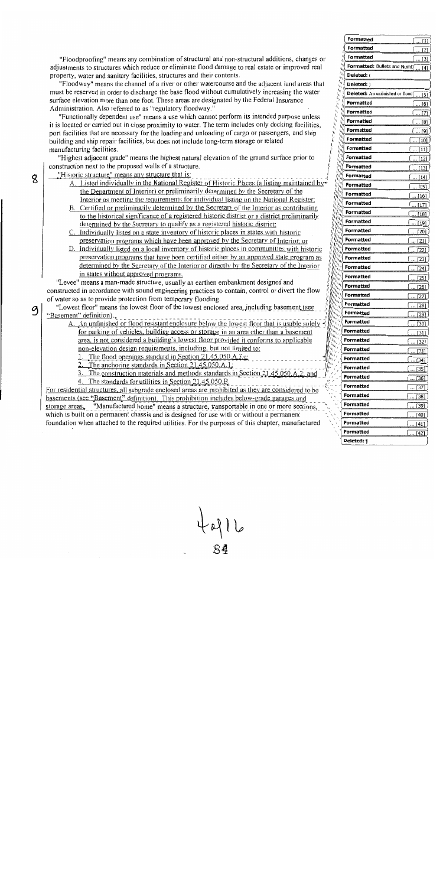"Floodproofing" means any combination of structural and non-structural additions, changes or adjustments to structures which reduce or eliminate flood damage to real estate or improved real property, water and sanitary facilities, structures and their contents.

"Floodway" means the channel of a river or other watercourse and the adjacent land areas that must be reserved in order to discharge the base flood without cumulatively increasing the water surface elevation more than one foot. These areas are designated by the Federal Insurance Administration. Also referred to as "regulatory floodway."

"Functionally dependent use" means a use which cannot perform its intended purpose unless it is located or carried out in close proximity to water. The term includes only docking facilities, port facilities that are necessary for the loading and unloading of cargo or passengers, and ship building and ship repair facilities, but does not include long-term storage or related manufacturing facilities.

"Highest adjacent grade" means the highest natural elevation of the ground surface prior to construction next to the proposed walls of a structure.

"Historic structure" means any structure that is:

8

9

- A. Listed individually in the National Register of Historic Places (a listing maintained by the Department of Interior) or preliminarily determined by the Secretary of the Interior as meeting the requirements for individual listing on the National Register;
- B. Certified or preliminarily determined by the Secretary of the Interior as contributing to the listorical significance of a registered historic district or a district preliminarily determined by the Secretary to qualify as a registered historic district;
- C. Individually listed on a state inventory of historic places in states with historic preservation programs which have been approved by the Secretary of Interior; or
- D. Individually listed on a local inventory of historic places in communities with historic preservation programs that have been certified either by an approved state program as determined by the Secretary of the Interior or directly by the Secretary of the Interior in states without approved programs.

"Levee" means a man-made structure, usually an earthen embankment designed and constructed in accordance with sound engineering practices to contain, control or divert the flow of water so as to provide protection from temporary flooding.

"Lowest floor" means the lowest floor of the lowest enclosed area, including basement (see "Basement" definition).

A. An unfinished or flood resistant enclosure below the lowest floor that is usable solely  $\triangleleft$ for parking of vehicles, building access or storage in an area other than a basement area, is not considered a building's lowest floor provided it conforms to applicable non-elevation design requirements, including, but not limited to:

The flood openings standard in Section 21.45.050.A.3.c.

The anchoring standards in Section 21.45.050.A.1.

3. The construction materials and methods standards in Section 21

4. The standards for utilities in Section 21.45.050.B.

For residential structures, all subgrade enclosed areas are prohibited as they are considered to be basements (see "Basement" definition). This prohibition includes below-grade garages and storage areas. "Manufactured home" means a structure, transportable in one or more sections, which is built on a permanent chassis and is designed for use with or without a permanent foundation when attached to the required utilities. For the purposes of this chapter, manufactured

|                                                                                                                                                                                                                                                               | Formatted                                     | 1                                                    |
|---------------------------------------------------------------------------------------------------------------------------------------------------------------------------------------------------------------------------------------------------------------|-----------------------------------------------|------------------------------------------------------|
|                                                                                                                                                                                                                                                               | f,<br>Formatted<br>ı.                         | [2]                                                  |
|                                                                                                                                                                                                                                                               | 4<br>Formatted<br>4,                          | 31                                                   |
|                                                                                                                                                                                                                                                               | $n_{\tilde{i}}$<br>۱.,                        | <b>Formatted:</b> Bullets and Numb<br>[4]            |
| $\bar{v}_{I_4}$<br>49                                                                                                                                                                                                                                         | Deleted: (                                    |                                                      |
| h,<br>ì,                                                                                                                                                                                                                                                      | Deleted: )<br>ij                              |                                                      |
| $\eta_{j}$<br><sup>1</sup>                                                                                                                                                                                                                                    | ١                                             | Deleted: An unfinished or flood<br>$\lceil 5 \rceil$ |
| 4,<br>Ι,<br>$\mathfrak{t}_{\mathbf{q}}$                                                                                                                                                                                                                       | 句<br>Formatted<br>$\mathbf{r}_h$              | [6]                                                  |
| k,<br>١,                                                                                                                                                                                                                                                      | $k_{ij}$<br>Formatted<br>$\ddot{r}_{\dot{q}}$ | $\overline{z}$                                       |
| $\hat{\mathbf{h}}_i$<br>h,<br>$u_{\hat{\imath}_1}$<br>l,                                                                                                                                                                                                      | Formatted                                     | [8]                                                  |
| $\mathbf{r}_{\mathbf{r}_i}$<br>h<br>$\mathbf{r}_{i_0}$<br>j                                                                                                                                                                                                   | Formatted                                     | [9]                                                  |
| $\mathbf{e}_{\mathbf{q}_i}$<br>in the first state of the state of the state of the state of the state of the state of the state of the state of the state of the state of the state of the state of the state of the state of the state of the state of the s | Formatted                                     | [10]                                                 |
| L. Print                                                                                                                                                                                                                                                      | Formatted                                     | [11]                                                 |
|                                                                                                                                                                                                                                                               | Formatted                                     | 21                                                   |
| <b>Call Call</b>                                                                                                                                                                                                                                              | Formatted                                     | 1<br>31                                              |
| <b>SALL</b><br>Line of<br>ļ                                                                                                                                                                                                                                   | Formatted                                     | 14]                                                  |
| North River<br>$\label{eq:q} \mathbf{w}_{\mathbf{q}}$                                                                                                                                                                                                         | Formatted                                     | $[15]$                                               |
| <b>Call Contract</b>                                                                                                                                                                                                                                          | Formatted                                     | 16                                                   |
| <b>Contract Contract Contract Contract Contract Contract Contract Contract Contract Contract Contract Contract C</b><br>All Concert                                                                                                                           | Formatted                                     | 171                                                  |
| A Contractor<br><b>Card</b>                                                                                                                                                                                                                                   | Formatted                                     | 18]                                                  |
| <b>Allen Branch</b>                                                                                                                                                                                                                                           | <b>Formatted</b>                              | [19]                                                 |
| Artists (<br>Alle Richard<br>All Survey                                                                                                                                                                                                                       | Formatted                                     | 7201                                                 |
| Alaman Kara<br>Allen King                                                                                                                                                                                                                                     | Formatted                                     | [21                                                  |
| <b>SHIP</b><br>A Saint                                                                                                                                                                                                                                        | Formatted                                     | 221                                                  |
| Antonia Care                                                                                                                                                                                                                                                  | Formatted                                     | [23]                                                 |
| Ninger of the Water<br>New York                                                                                                                                                                                                                               | Formatted                                     | [24]                                                 |
| i Maria<br>L.                                                                                                                                                                                                                                                 | Formatted                                     | [25]                                                 |
| <b>Service</b><br>s,                                                                                                                                                                                                                                          | Formatted                                     | [26]                                                 |
| e,<br>$\tilde{\eta}_{ij}$<br>i                                                                                                                                                                                                                                | Formatted                                     | [27]                                                 |
| 'n,<br>ï<br>ı<br>h,<br>ŕ,<br>I                                                                                                                                                                                                                                | Formatted                                     | [28]                                                 |
| ٠,<br>ł<br>y<br>ł                                                                                                                                                                                                                                             | Formatted                                     | [29]                                                 |
| η,<br>i<br>4,<br>I<br>ł                                                                                                                                                                                                                                       | Formatted                                     | 130                                                  |
| ı,<br>ì                                                                                                                                                                                                                                                       | Formatted                                     | 31                                                   |
| ł<br>֠<br>ì                                                                                                                                                                                                                                                   | Formatted                                     | [32]                                                 |
|                                                                                                                                                                                                                                                               | Formatted                                     | [33]                                                 |
|                                                                                                                                                                                                                                                               | Formatted                                     | $[34]$                                               |
|                                                                                                                                                                                                                                                               | Formatted                                     | [35]                                                 |
|                                                                                                                                                                                                                                                               | Formatted                                     | [36]                                                 |
|                                                                                                                                                                                                                                                               | Formatted                                     | $\overline{[37]}$                                    |
|                                                                                                                                                                                                                                                               | Formatted                                     | $\overline{[38]}$                                    |
|                                                                                                                                                                                                                                                               | Formatted                                     | [39]                                                 |
|                                                                                                                                                                                                                                                               | Formatted                                     | [40]                                                 |
|                                                                                                                                                                                                                                                               | Formatted                                     | [41]                                                 |
|                                                                                                                                                                                                                                                               | Formatted                                     | $[42]$                                               |
|                                                                                                                                                                                                                                                               | Deleted: ¶                                    |                                                      |
|                                                                                                                                                                                                                                                               |                                               |                                                      |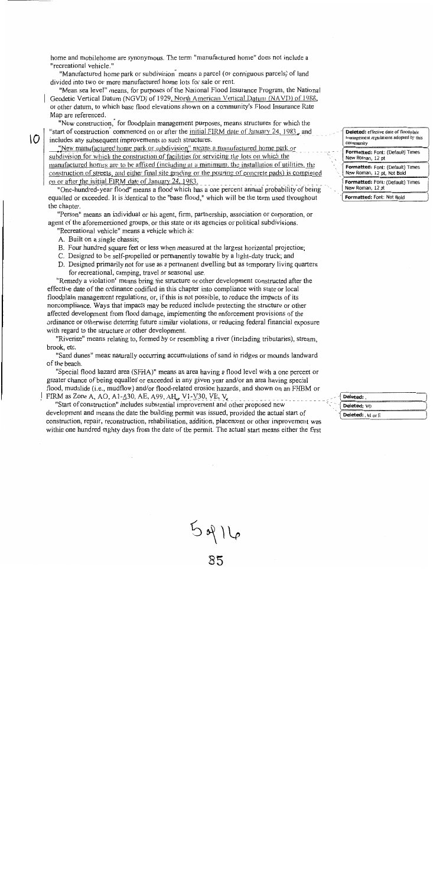home and mobilehome are synonymous. The term "manufactured home" does not include a "recreational vehicle."

"Manufactured home park or subdivision<sup>"</sup> means a parcel (or contiguous parcels) of land divided into two or more manufactured home lots for sale or rent.

"Mean sea leve!" means, for purposes of the National Flood Insurance Program, the National Geodetic Vertical Datum (NGVD) of 1929, North American Vertical Datum (NAVD) of 1988, or other datum, to which base flood elevations shown on a community's Flood Insurance Rate Map are referenced.

"New construction," for floodplain management purposes, means structures for which the "start of construction" commenced on or after the initial FIRM date of January 24, 1983, and includes any subsequent improvements to such structures.

"New manufactured home park or subdivision" means a manufactured home park or subdivision for which the construction of facilities for servicing the lots on which the manufactured homes are to be affixed (including at a minimum, the installation of utilities, the construction of streets, and either final site grading or the pouring of concrete pads) is completed on or after the initial FIRM date of January 24, 1983.

"One-hundred-year flood" means a flood which has a one percent annual probability of being equalled or exceeded. It is identical to the "base flood," which will be the term used throughout the chapter.

"Person" means an individual or his agent, firm, partnership, association or corporation, or agent of the aforementioned groups, or this state or its agencies or political subdivisions.

"Recreational vehicle" means a vehicle which is:

A. Built on a single chassis;

IO.

- B. Four hundred square feet or less when measured at the largest horizontal projection;
- C. Designed to be self-propelled or permanently towable by a light-duty truck; and
- D. Designed primarily not for use as a permanent dwelling but as temporary living quarters for recreational, camping, travel or seasonal use.

"Remedy a violation" means bring the structure or other development constructed after the effective date of the ordinance codified in this chapter into compliance with state or local floodplain management regulations, or, if this is not possible, to reduce the impacts of its noncompliance. Ways that impacts may be reduced include protecting the structure or other affected development from flood damage, implementing the enforcement provisions of the ordinance or otherwise deterring future similar violations, or reducing federal financial exposure with regard to the structure or other development.

"Riverine" means relating to, formed by or resembling a river (including tributaries), stream, brook, etc.

"Sand dunes" mean naturally occurring accumulations of sand in ridges or mounds landward of the beach.

"Special flood hazard area (SFHA)" means an area having a flood level with a one percent or greater chance of being equalled or exceeded in any given year and/or an area having special flood, mudslide (i.e., mudflow) and/or flood-related erosion hazards, and shown on an FHBM or FIRM as Zone A, AO, A1- $\triangle 30$ , AE, A99, AH, V1-V30, VE, V

"Start of construction" includes substantial improvement and other proposed new development and means the date the building permit was issued, provided the actual start of construction, repair, reconstruction, rehabilitation, addition, placement or other improvement was within one hundred eighty days from the date of the permit. The actual start means either the first

 $5916$ <br>85

| <b>Deleted:</b> effective date of floodplain<br>management regulations adopted by this<br>community |
|-----------------------------------------------------------------------------------------------------|
| Formatted: Font: (Default) Times<br>New Roman, 12 pt                                                |
| Formatted: Font: (Default) Times<br>New Roman, 12 pt, Not Bold                                      |
| Formatted: Font: (Default) Times<br>New Roman, 12 pt                                                |
| Formatted: Font: Not Bold                                                                           |

| - 11 | Deleted:         |  |
|------|------------------|--|
|      | Deleted: VO      |  |
|      | Deleted:, M or E |  |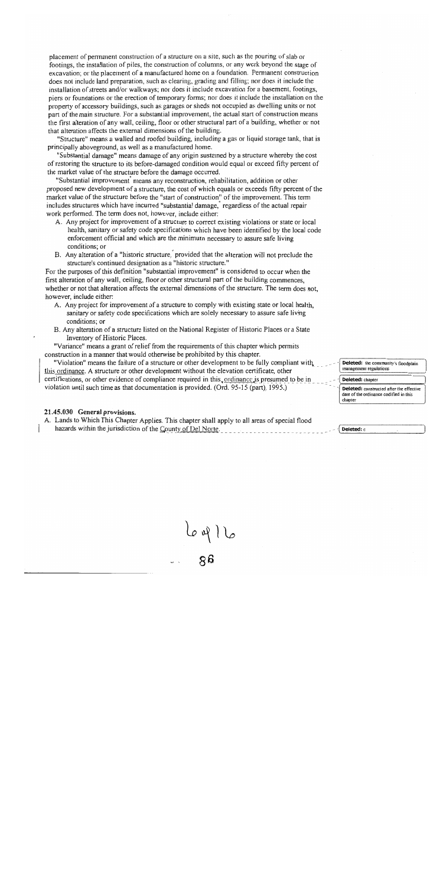placement of permanent construction of a structure on a site, such as the pouring of slab or footings, the installation of piles, the construction of columns, or any work beyond the stage of excavation; or the placement of a manufactured home on a foundation. Permanent construction does not include land preparation, such as clearing, grading and filling; nor does it include the installation of streets and/or walkways; nor does it include excavation for a basement, footings, piers or foundations or the erection of temporary forms; nor does it include the installation on the property of accessory buildings, such as garages or sheds not occupied as dwelling units or not part of the main structure. For a substantial improvement, the actual start of construction means the first alteration of any wall, ceiling, floor or other structural part of a building, whether or not that alteration affects the external dimensions of the building.

"Structure" means a walled and roofed building, including a gas or liquid storage tank, that is principally aboveground, as well as a manufactured home.

"Substantial damage" means damage of any origin sustained by a structure whereby the cost of restoring the structure to its before-damaged condition would equal or exceed fifty percent of the market value of the structure before the damage occurred.

"Substantial improvement means any reconstruction, rehabilitation, addition or other proposed new development of a structure, the cost of which equals or exceeds fifty percent of the market value of the structure before the "start of construction" of the improvement. This term includes structures which have incurred "substantial damage, regardless of the actual repair work performed. The term does not, however, include either:

- A. Any project for improvement of a structure to correct existing violations or state or local health, sanitary or safety code specifications which have been identified by the local code enforcement official and which are the minimum necessary to assure safe living conditions; or
- B. Any alteration of a "historic structure," provided that the alteration will not preclude the structure's continued designation as a "historic structure."

For the purposes of this definition "substantial improvement" is considered to occur when the first alteration of any wall, ceiling, floor or other structural part of the building commences, whether or not that alteration affects the external dimensions of the structure. The term does not, however, include either:

- A. Any project for improvement of a structure to comply with existing state or local health, sanitary or safety code specifications which are solely necessary to assure safe living conditions; or
- B. Any alteration of a structure listed on the National Register of Historic Places or a State Inventory of Historic Places.

"Variance" means a grant of relief from the requirements of this chapter which permits construction in a manner that would otherwise be prohibited by this chapter.

"Violation" means the failure of a structure or other development to be fully compliant with this ordinance. A structure or other development without the elevation certificate, other certifications, or other evidence of compliance required in this, ordinance is presumed to be in violation until such time as that documentation is provided. (Ord. 95-15 (part), 1995.)

#### 21.45.030 General provisions.

A. Lands to Which This Chapter Applies. This chapter shall apply to all areas of special flood hazards within the jurisdiction of the County of Del Norte.

Deleted: the community's floodplain management regulations

Deleted: chapter Deleted: constructed after the effective date of the ordinance codified in this

Deleted: c

chapter

 $\frac{1}{88}$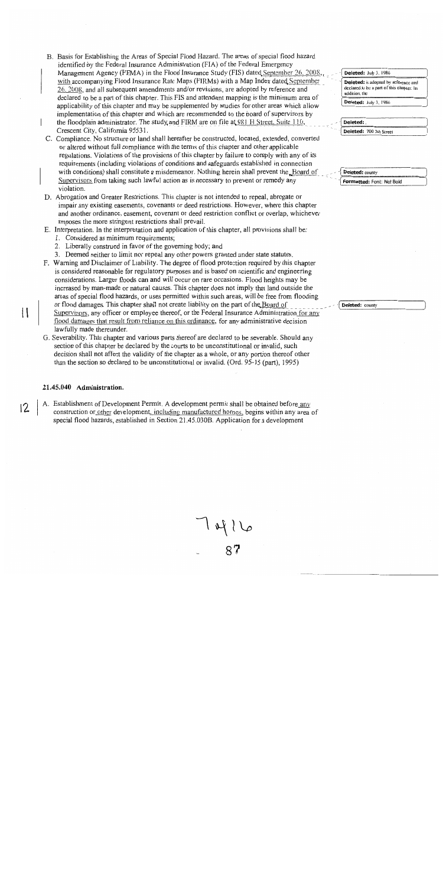- B. Basis for Establishing the Areas of Special Flood Hazard. The areas of special flood hazard identified by the Federal Insurance Administration (FIA) of the Federal Emergency Management Agency (FEMA) in the Flood Insurance Study (FIS) dated September 26, 2008, with accompanying Flood Insurance Rate Maps (FIRMs) with a Map Index dated September 26, 2008, and all subsequent amendments and/or revisions, are adopted by reference and declared to be a part of this chapter. This FIS and attendant mapping is the minimum area of applicability of this chapter and may be supplemented by studies for other areas which allow implementation of this chapter and which are recommended to the board of supervisors by the floodplain administrator. The study and FIRM are on file at  $981$  H Street, Suite 110, Crescent City, California 95531.
- C. Compliance. No structure or land shall hereafter be constructed, located, extended, converted or altered without full compliance with the terms of this chapter and other applicable regulations. Violations of the provisions of this chapter by failure to comply with any of its requirements (including violations of conditions and safeguards established in connection with conditions) shall constitute a misdemeanor. Nothing herein shall prevent the Board of Supervisors from taking such lawful action as is necessary to prevent or remedy any violation.
- D. Abrogation and Greater Restrictions. This chapter is not intended to repeal, abrogate or impair any existing easements, covenants or deed restrictions. However, where this chapter and another ordinance, easement, covenant or deed restriction conflict or overlap, whichever imposes the more stringent restrictions shall prevail.
- E. Interpretation. In the interpretation and application of this chapter, all provisions shall be:
	- 1. Considered as minimum requirements;
	- 2. Liberally construed in favor of the governing body; and
	- 3. Deemed neither to limit nor repeal any other powers granted under state statutes.
- F. Warning and Disclaimer of Liability. The degree of flood protection required by this chapter is considered reasonable for regulatory purposes and is based on scientific and engineering considerations. Larger floods can and will occur on rare occasions. Flood heights may be increased by man-made or natural causes. This chapter does not imply that land outside the areas of special flood hazards, or uses permitted within such areas, will be free from flooding or flood damages. This chapter shall not create liability on the part of the Board of Supervisors, any officer or employee thereof, or the Federal Insurance Administration for any flood damages that result from reliance on this ordinance, for any administrative decision lawfully made thereunder.
- G. Severability. This chapter and various parts thereof are declared to be severable. Should any section of this chapter be declared by the courts to be unconstitutional or invalid, such decision shall not affect the validity of the chapter as a whole, or any portion thereof other than the section so declared to be unconstitutional or invalid. (Ord. 95-15 (part), 1995)

#### 21.45.040 Administration.

 $\mathbf{1}$ 

A. Establishment of Development Permit. A development permit shall be obtained before any  $12$ construction or other development, including manufactured homes, begins within any area of special flood hazards, established in Section 21.45.030B. Application for a development

Deleted: July 3, 1986 Deleted: is adopted by reference and declared to be a part of this chapter. In addition, the Deleted: July 3, 1986 Deleted: Deleted: 700 5th Street

#### Deleted: county Formatted: Font: Not Bold

Deleted: county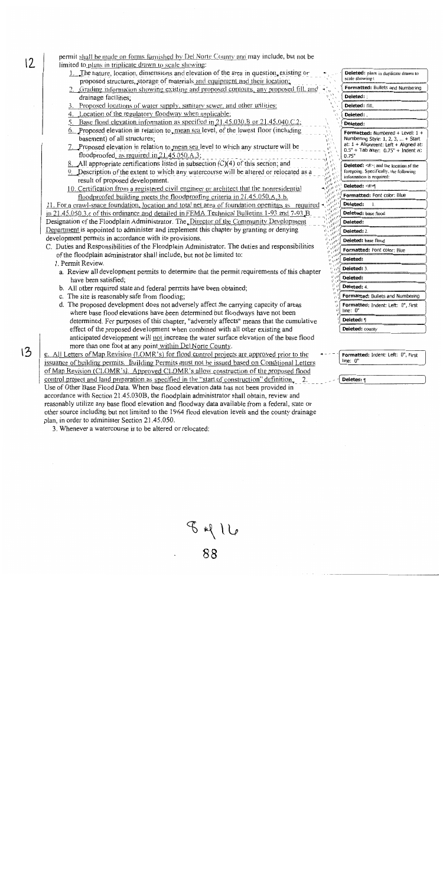permit shall be made on forms furnished by Del Norte County and may include, but not be limited to plans in triplicate drawn to scale showing:

- 1. The nature, location, dimensions and elevation of the area in question, existing or proposed structures, storage of materials and equipment and their location;
- Grading information showing existing and proposed contours, any proposed fill, and drainage facilities;
- Proposed locations of water supply, sanitary sewer, and other utilities:
- 4. Location of the regulatory floodway when applicable.
- 5. Base flood elevation information as specified in 21.45.030.B or 21.45.040.C.2;
- Proposed elevation in relation to nean sea level, of the lowest floor (including 6. basement) of all structures;
- 7. Proposed elevation in relation to mean sea level to which any structure will be floodproofed, as required in  $21.45.050.A.3$ ;
- All appropriate certifications listed in subsection  $(C)(4)$  of this section; and 8.
- 9. Description of the extent to which any watercourse will be altered or relocated as a result of proposed development.
- 10. Certification from a registered civil engineer or architect that the nonresidential floodproofed building meets the floodproofing criteria in 21.45.050.A.3.b.

11. For a crawl-space foundation, location and total net area of foundation openings as required in 21.45.050.3.c of this ordinance and detailed in FEMA Technical Bulletins 1-93 and 7-93 B. Designation of the Floodplain Administrator. The Director of the Community Development Department is appointed to administer and implement this chapter by granting or denying development permits in accordance with its provisions.

- C. Duties and Responsibilities of the Floodplain Administrator. The duties and responsibilities of the floodplain administrator shall include, but not be limited to:
	- 1. Permit Review.

 $12$ 

 $13$ 

- a. Review all development permits to determine that the permit requirements of this chapter have been satisfied;
- b. All other required state and federal permits have been obtained;
- c. The site is reasonably safe from flooding;
- d. The proposed development does not adversely affect the carrying capacity of areas where base flood elevations have been determined but floodways have not been determined. For purposes of this chapter, "adversely affects" means that the cumulative effect of the proposed development when combined with all other existing and anticipated development will not increase the water surface elevation of the base flood more than one foot at any point within Del Norte County.

e. All Letters of Map Revision (LOMR's) for flood control projects are approved prior to the issuance of building permits. Building Permits must not be issued based on Conditional Letters of Map Revision (CLOMR's). Approved CLOMR's allow construction of the proposed flood control project and land preparation as specified in the "start of construction" definition. 2. Use of Other Base Flood Data. When base flood elevation data has not been provided in accordance with Section 21.45.030B, the floodplain administrator shall obtain, review and reasonably utilize any base flood elevation and floodway data available from a federal, state or other source including but not limited to the 1964 flood elevation levels and the county drainage plan, in order to administer Section 21.45.050.

3. Whenever a watercourse is to be altered or relocated:

| Deleted: plans in duplicate drawn to<br>scale showing t                                                                                                              |
|----------------------------------------------------------------------------------------------------------------------------------------------------------------------|
| <b>Formatted: Bullets and Numbering</b>                                                                                                                              |
| Deleted: :                                                                                                                                                           |
| Deleted: fill.                                                                                                                                                       |
| Deleted: .                                                                                                                                                           |
| Deleted:                                                                                                                                                             |
| Formatted: Numbered + Level: 1 +<br>Numbering Style: 1, 2, 3,  + Start<br>at: 1 + Alignment: Left + Aligned at:<br>$0.5" +$ Tab after: $0.75" +$ Indent at:<br>0.75" |
| <b>Deleted:</b> <#>; and the location of the<br>foregoing. Specifically, the following<br>information is required:                                                   |
| Deleted: <#>{                                                                                                                                                        |
| Formatted: Font color: Blue                                                                                                                                          |
| Deleted:<br>l.                                                                                                                                                       |
| Deleted: base flood                                                                                                                                                  |
| Deleted:                                                                                                                                                             |
| Deleted: 2.                                                                                                                                                          |
| Deleted: base flood                                                                                                                                                  |
| Formatted: Font color: Blue                                                                                                                                          |
| Deleted:                                                                                                                                                             |
| Deleted: 3.                                                                                                                                                          |
| Deleted:                                                                                                                                                             |
| Deleted: 4                                                                                                                                                           |
| Formatted: Bullets and Numbering                                                                                                                                     |
| Formatted: Indent: Left: 0", First<br>O"<br>line:                                                                                                                    |
| Deleted: 1                                                                                                                                                           |
| <b>Deleted:</b> county                                                                                                                                               |

Formatted: Indent: Left: 0", First line: 0'

Deleted: 1

 $\begin{array}{c} \mathcal{L} \\ \mathcal{L} \end{array} \begin{array}{c} \mathcal{L} \\ \mathcal{L} \end{array}$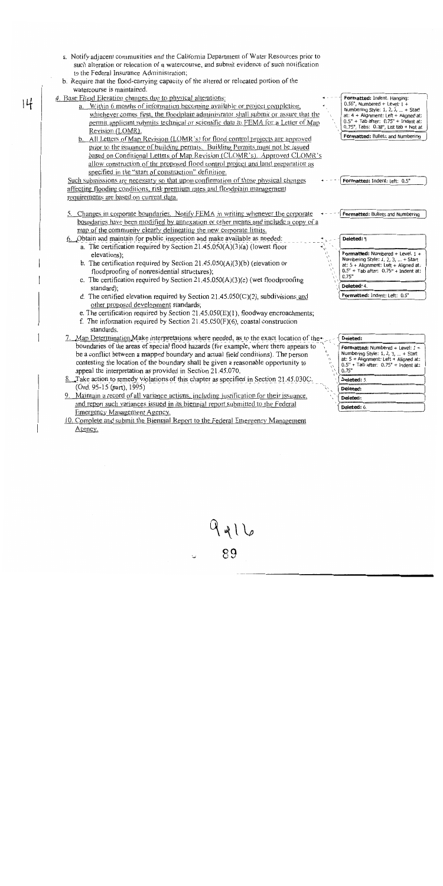- a. Notify adjacent communities and the California Department of Water Resources prior to such alteration or relocation of a watercourse, and submit evidence of such notification to the Federal Insurance Administration;
- b. Require that the flood-carrying capacity of the altered or relocated portion of the watercourse is maintained.

#### 4. Base Flood Elevation changes due to physical alterations:

 $|4$ 

- a. Within 6 months of information becoming available or project completion, whichever comes first, the floodplain administrator shall submit or assure that the permit applicant submits technical or scientific data to FEMA for a Letter of Map Revision (LOMR).
- b. All Letters of Map Revision (LOMR's) for flood control projects are approved prior to the issuance of building permits. Building Permits must not be issued based on Conditional Letters of Map Revision (CLOMR's). Approved CLOMR's allow construction of the proposed flood control project and land preparation as specified in the "start of construction" definition.

Such submissions are necessary so that upon confirmation of those physical changes affecting flooding conditions, risk premium rates and floodplain management requirements are based on current data.

- 5. Changes in corporate boundaries. Notify FEMA in writing whenever the corporate boundaries have been modified by annexation or other means and include a copy of a map of the community clearly delineating the new corporate limits.
- 6. Obtain and maintain for public inspection and make available as needed: a. The certification required by Section  $21.45.050(A)(3)(a)$  (lowest floor elevations):
	- b. The certification required by Section  $21.45.050(A)(3)(b)$  (elevation or floodproofing of nonresidential structures);
	- c. The certification required by Section 21.45.050(A)(3)(c) (wet floodproofing standard);
	- d. The certified elevation required by Section  $21.45.050(C)(2)$ , subdivisions and other proposed development standards;
	- e. The certification required by Section  $21.45.050(E)(1)$ , floodway encroachments;
	- f. The information required by Section  $21.45.050(F)(6)$ , coastal construction standards.
- 7. Map Determination Make interpretations where needed, as to the exact location of the boundaries of the areas of special flood hazards (for example, where there appears to be a conflict between a mapped boundary and actual field conditions). The person contesting the location of the boundary shall be given a reasonable opportunity to appeal the interpretation as provided in Section 21.45.070.
- 8. Take action to remedy violations of this chapter as specified in Section 21.45.030C. (Ord. 95-15 (part), 1995)
- 9. Maintain a record of all variance actions, including justification for their issuance, and report such variances issued in its biennial report submitted to the Federal Emergency Management Agency.
- 10. Complete and submit the Biennial Report to the Federal Emergency Management Agency.

Formatted: Indent: Hanging:  $0.56$ ", Numbered + Level: 1 -Numbering Style: 1, 2, 3, ... + Start at:  $4 +$  Alignment: Left + Aligned at:  $0.5" + Tab$  after:  $0.75" + Indent$  at: 0.75", Tabs: 0.38", List tab + Not at Formatted: Bullets and Numbering

Formatted: Indent: Left: 0.5"

Formatted: Bullets and Numbering

Deleted: 1 Formatted: Numbered + Level: 1 + Numbering Style: 1, 2, 3, ... + Start at:  $5 +$  Alignment: Left + Aligned at:  $0.5" + Tab$  after:  $0.75" + Indent$  at:  $0.75"$ Deleted: 4 Formatted: Indent: Left: 0.5"

| Deleted:                                                                                                                                                                        |
|---------------------------------------------------------------------------------------------------------------------------------------------------------------------------------|
| <b>Formatted:</b> Numbered + Level: $1 +$<br>Numbering Style: 1, 2, 3,  + Start<br>at: $5 +$ Alignment: Left + Aligned at:<br>$0.5" +$ Tab after: $0.75" +$ Indent at:<br>0.75" |
| Deleted: 5.                                                                                                                                                                     |
| Deleted:                                                                                                                                                                        |
| Deleted:                                                                                                                                                                        |
| <b>Deleted:</b> 6.                                                                                                                                                              |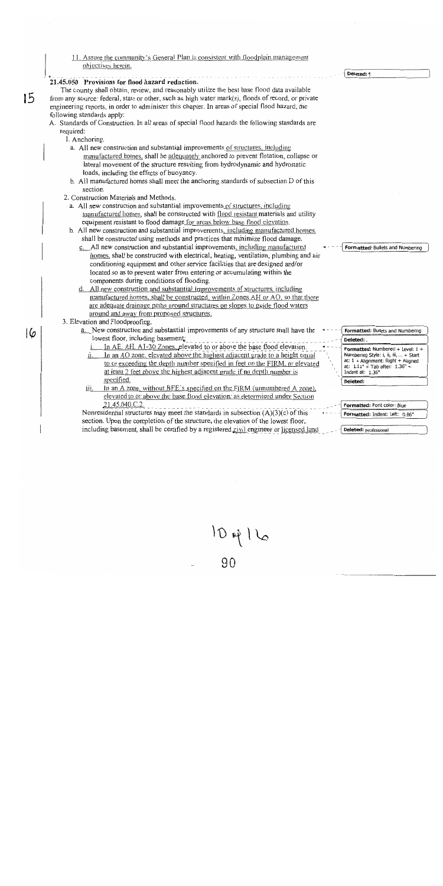11. Assure the community's General Plan is consistent with floodplain management objectives herein.

#### Deleted: 1 21.45.050 Provisions for flood hazard reduction. The county shall obtain, review, and reasonably utilize the best base flood data available 15 from any source: federal, state or other, such as high water mark(s), floods of record, or private engineering reports, in order to administer this chapter. In areas of special flood hazard, the following standards apply: A. Standards of Construction. In all areas of special flood hazards the following standards are required: 1. Anchoring. a. All new construction and substantial improvements of structures, including manufactured homes, shall be adequately anchored to prevent flotation, collapse or lateral movement of the structure resulting from hydrodynamic and hydrostatic loads, including the effects of buoyancy. b. All manufactured homes shall meet the anchoring standards of subsection D of this section. 2. Construction Materials and Methods. a. All new construction and substantial improvements of structures, including manufactured homes, shall be constructed with flood resistant materials and utility equipment resistant to flood damage for areas below base flood elevation. b. All new construction and substantial improvements, including manufactured homes. shall be constructed using methods and practices that minimize flood damage. c. All new construction and substantial improvements, including manufactured Formatted: Bullets and Numbering homes, shall be constructed with electrical, heating, ventilation, plumbing and air conditioning equipment and other service facilities that are designed and/or located so as to prevent water from entering or accumulating within the components during conditions of flooding. d. All new construction and substantial improvements of structures, including manufactured homes, shall be constructed, within Zones AH or AO, so that there are adequate drainage paths around structures on slopes to guide flood waters around and away from proposed structures. 3. Elevation and Floodproofing. a. New construction and substantial improvements of any structure shall have the Formatted: Bullets and Numbering 16 lowest floor, including basement: Deleted: In AE. AH. A1-30 Zones, elevated to or above the base flood elevation.  $ii.$ In an AO zone, elevated above the highest adjacent grade to a height equal to or exceeding the depth number specified in feet on the FIRM, or elevated at least 2 feet above the highest adjacent grade if no depth number is

specified. In an A zone, without BFE's specified on the FIRM (unnumbered A zone), <u>iii.</u> elevated to or above the base flood elevation: as determined under Section 21.45.040.C.2.

Nonresidential structures may meet the standards in subsection  $(A)(3)(c)$  of this section. Upon the completion of the structure, the elevation of the lowest floor, including basement, shall be certified by a registered civil engineer or licensed land

Formatted: Numbered + Level: 1 + Numbering Style: i, ii, iii, ... + Start at: 1 + Alignment: Right + Aligned at:  $1.11" +$ Tab after:  $1.36" +$ Indent at: 1.36" Deleted:

| Formatted: Font color: Blue    |  |  |
|--------------------------------|--|--|
| Formatted: Indent: Left: 0.86" |  |  |

**Deleted:** professional

 $1D + 16$ 

gη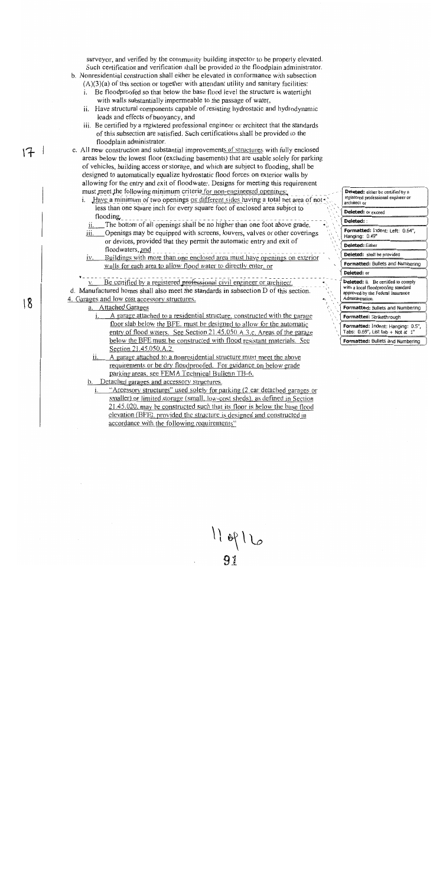surveyor, and verified by the community building inspector to be properly elevated. Such certification and verification shall be provided to the floodplain administrator.

- b. Nonresidential construction shall either be elevated in conformance with subsection  $(A)(3)(a)$  of this section or together with attendant utility and sanitary facilities:
	- Be floodproofed so that below the base flood level the structure is watertight with walls substantially impermeable to the passage of water,
	- ii. Have structural components capable of resisting hydrostatic and hydrodynamic loads and effects of buoyancy, and
	- iii. Be certified by a registered professional engineer or architect that the standards of this subsection are satisfied. Such certifications shall be provided to the floodplain administrator.
- c. All new construction and substantial improvements of structures with fully enclosed areas below the lowest floor (excluding basements) that are usable solely for parking of vehicles, building access or storage, and which are subject to flooding, shall be designed to automatically equalize hydrostatic flood forces on exterior walls by allowing for the entry and exit of floodwater. Designs for meeting this requirement must meet the following minimum criteria for non-engineered openings:
	- i. Have a minimum of two openings on different sides having a total net area of notless than one square inch for every square foot of enclosed area subject to flooding
		- The bottom of all openings shall be no higher than one foot above grade.
	- iii. Openings may be equipped with screens, louvers, valves or other coverings or devices, provided that they permit the automatic entry and exit of floodwaters, and
	- Buildings with more than one enclosed area must have openings on exterior iv. walls for each area to allow flood water to directly enter, or
	- Be certified by a registered professional civil engineer or architect.

d. Manufactured homes shall also meet the standards in subsection D of this section. 4. Garages and low cost accessory structures.

a. Attached Garages

 $17 -$ 

 $18$ 

- A garage attached to a residential structure, constructed with the garage  $i$ . floor slab below the BFE, must be designed to allow for the automatic entry of flood waters. See Section 21,45,050.A.3.c. Areas of the garage below the BFE must be constructed with flood resistant materials. See Section 21.45.050.A.2.
- A garage attached to a nonresidential structure must meet the above requirements or be dry floodproofed. For guidance on below grade parking areas, see FEMA Technical Bulletin TB-6.

b. Detached garages and accessory structures.

"Accessory structures" used solely for parking (2 car detached garages or smaller) or limited storage (small, low-cost sheds), as defined in Section 21.45.020, may be constructed such that its floor is below the base flood elevation (BFE), provided the structure is designed and constructed in accordance with the following requirements"

 $119916$ 

registered professional engineer or architect of Deleted: or exceed Deleted: Formatted: Indent: Left: 0.64", Hanging: 0.49" Deleted: Either Deleted: shall be provided Formatted: Bullets and Numbering Deleted: or Deleted: ii. Be certified to comply with a local floodproofing standard approved by the Federal Insurance Administration. Formatted: Bullets and Numbering Formatted: Strikethrough Formatted: Indent: Hanging: 0.5",

Deleted: either be certified by a

Tabs:  $0.69$ ", List tab + Not at 1" Formatted: Bullets and Numbering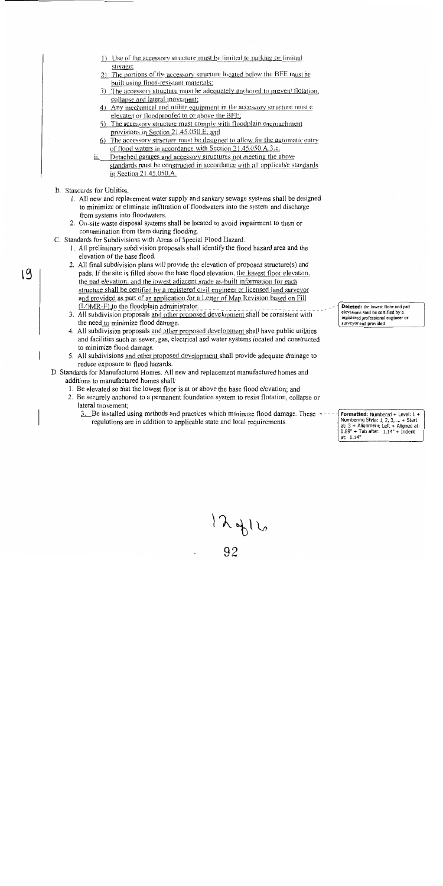- 1) Use of the accessory structure must be limited to parking or limited storage;
- 2) The portions of the accessory structure located below the BFE must be built using flood-resistant materials;
- 3) The accessory structure must be adequately anchored to prevent flotation, collapse and lateral movement;
- 4) Any mechanical and utility equipment in the accessory structure must e elevated or floodproofed to or above the BFE;
- 5) The accessory structure must comply with floodplain encroachment provisions in Section 21.45.050.E; and
- 6) The accessory structure must be designed to allow for the automatic entry of flood waters in accordance with Section 21.45.050.A.3.c.
- Detached garages and accessory structures not meeting the above standards must be constructed in accordance with all applicable standards in Section 21.45.050.A.
- B. Standards for Utilities.

 $19$ 

- 1. All new and replacement water supply and sanitary sewage systems shall be designed to minimize or eliminate infiltration of floodwaters into the system and discharge from systems into floodwaters.
- 2. On-site waste disposal systems shall be located to avoid impairment to them or contamination from them during flooding.
- C. Standards for Subdivisions with Areas of Special Flood Hazard.
	- 1. All preliminary subdivision proposals shall identify the flood hazard area and the elevation of the base flood.
	- 2. All final subdivision plans will provide the elevation of proposed structure(s) and pads. If the site is filled above the base flood elevation, the lowest floor elevation, the pad elevation, and the lowest adjacent grade as-built information for each structure shall be certified by a registered civil engineer or licensed land surveyor and provided as part of an application for a Letter of Map Revision based on Fill (LOMR-F) to the floodplain administrator.
	- 3. All subdivision proposals and other proposed development shall be consistent with the need to minimize flood damage.
	- 4. All subdivision proposals and other proposed development shall have public utilities and facilities such as sewer, gas, electrical and water systems located and constructed to minimize flood damage.
	- 5. All subdivisions and other proposed development shall provide adequate drainage to reduce exposure to flood hazards.
- D. Standards for Manufactured Homes. All new and replacement manufactured homes and additions to manufactured homes shall:
	- 1. Be elevated so that the lowest floor is at or above the base flood elevation; and
	- 2. Be securely anchored to a permanent foundation system to resist flotation, collapse or lateral movement;
		- 3. Be installed using methods and practices which minimize flood damage. These  $\rightarrow$ regulations are in addition to applicable state and local requirements.

Deleted: the lowest floor and pad elevations shall be certified by a registered professional engineer or surveyor and provided

Formatted: Numbered + Level: 1 + Numbering Style:  $1, 2, 3, ... +$  Start<br>at:  $3 +$  Alignment: Left + Aligned at:<br> $0.89'' +$  Tab after:  $1.14'' +$  Indent at: 1.14"

 $12900$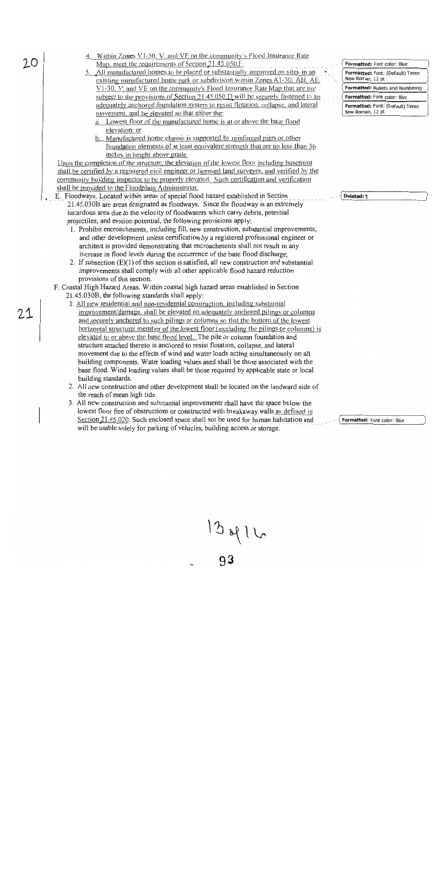- Within Zones V1-30, V, and VE on the community's Flood Insurance Rate Map, meet the requirements of Section 21.45.050.F.
- 5. All manufactured homes to be placed or substantially improved on sites in an existing manufactured home park or subdivision within Zones A1-30. AH, AE, V1-30, V, and VE on the community's Flood Insurance Rate Map that are not subject to the provisions of Section 21.45.050.D will be securely fastened to an adequately anchored foundation system to resist flotation, collapse, and lateral movement, and be elevated so that either the:
	- a. Lowest floor of the manufactured home is at or above the base flood elevation; or
	- Manufactured home chassis is supported by reinforced piers or other  $h_{-}$ foundation elements of at least equivalent strength that are no less than 36 inches in height above grade.

Upon the completion of the structure, the elevation of the lowest floor including basement shall be certified by a registered civil engineer or licensed land surveyor, and verified by the community building inspector to be properly elevated. Such certification and verification shall be provided to the Floodplain Administrator.

- E. Floodways. Located within areas of special flood hazard established in Section 21.45.030B are areas designated as floodways. Since the floodway is an extremely hazardous area due to the velocity of floodwaters which carry debris, potential projectiles, and erosion potential, the following provisions apply:
	- 1. Prohibit encroachments, including fill, new construction, substantial improvements, and other development unless certification by a registered professional engineer or architect is provided demonstrating that encroachments shall not result in any increase in flood levels during the occurrence of the base flood discharge;
	- 2. If subsection (E)(1) of this section is satisfied, all new construction and substantial improvements shall comply with all other applicable flood hazard reduction provisions of this section.
	- F. Coastal High Hazard Areas. Within coastal high hazard areas established in Section 21.45.030B, the following standards shall apply:
		- 1. All new residential and non-residential construction, including substantial improvement/damage, shall be elevated on adequately anchored pilings or columns and securely anchored to such pilings or columns so that the bottom of the lowest horizontal structural member of the lowest floor (excluding the pilings or columns) is elevated to or above the base flood level. The pile or column foundation and structure attached thereto is anchored to resist flotation, collapse, and lateral movement due to the effects of wind and water loads acting simultaneously on all building components. Water loading values used shall be those associated with the base flood. Wind loading values shall be those required by applicable state or local building standards.
		- 2. All new construction and other development shall be located on the landward side of the reach of mean high tide.
		- 3. All new construction and substantial improvements shall have the space below the lowest floor free of obstructions or constructed with breakaway walls as defined in Section 21.45.020. Such enclosed space shall not be used for human habitation and will be usable solely for parking of vehicles, building access or storage.

Formatted: Font color: Blue Formatted: Font: (Default) Times New Roman, 12 pt Formatted: Bullets and Numbering Formatted: Font color: Blue Formatted: Font: (Default) Times New Roman, 12 pt

Deleted: 1

Formatted: Font color: Blue

 $13416$ 

 $20$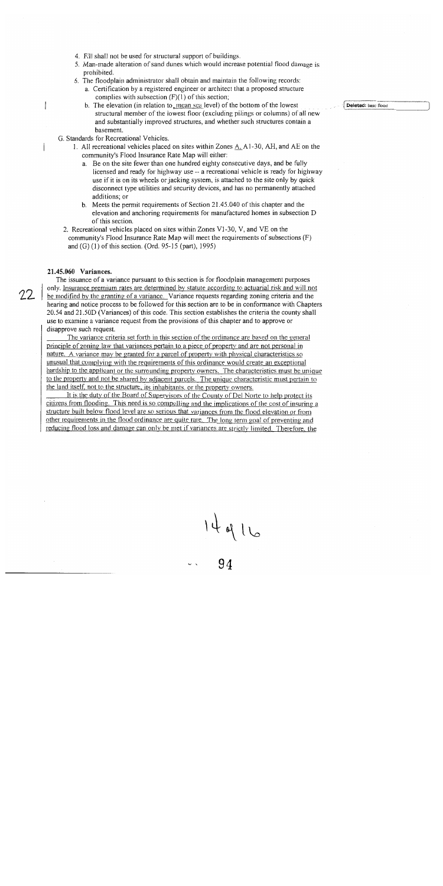- 4. Fill shall not be used for structural support of buildings.
- 5. Man-made alteration of sand dunes which would increase potential flood damage is prohibited.
- 6. The floodplain administrator shall obtain and maintain the following records:
	- a. Certification by a registered engineer or architect that a proposed structure complies with subsection  $(F)(1)$  of this section;
	- b. The elevation (in relation to mean sea level) of the bottom of the lowest structural member of the lowest floor (excluding pilings or columns) of all new and substantially improved structures, and whether such structures contain a basement.
- G. Standards for Recreational Vehicles.
	- 1. All recreational vehicles placed on sites within Zones  $A_1$ , A1-30, AH, and AE on the community's Flood Insurance Rate Map will either:
		- a. Be on the site fewer than one hundred eighty consecutive days, and be fully licensed and ready for highway use -- a recreational vehicle is ready for highway use if it is on its wheels or jacking system, is attached to the site only by quick disconnect type utilities and security devices, and has no permanently attached additions; or
		- b. Meets the permit requirements of Section 21.45.040 of this chapter and the elevation and anchoring requirements for manufactured homes in subsection D of this section.
- 2. Recreational vehicles placed on sites within Zones V1-30, V, and VE on the community's Flood Insurance Rate Map will meet the requirements of subsections  $(F)$ and (G) (1) of this section. (Ord. 95-15 (part), 1995)

#### 21.45.060 Variances.

The issuance of a variance pursuant to this section is for floodplain management purposes only. Insurance premium rates are determined by statute according to actuarial risk and will not be modified by the granting of a variance. Variance requests regarding zoning criteria and the hearing and notice process to be followed for this section are to be in conformance with Chapters 20.54 and 21.50D (Variances) of this code. This section establishes the criteria the county shall use to examine a variance request from the provisions of this chapter and to approve or disapprove such request.

The variance criteria set forth in this section of the ordinance are based on the general principle of zoning law that variances pertain to a piece of property and are not personal in nature. A variance may be granted for a parcel of property with physical characteristics so unusual that complying with the requirements of this ordinance would create an exceptional hardship to the applicant or the surrounding property owners. The characteristics must be unique to the property and not be shared by adjacent parcels. The unique characteristic must pertain to the land itself, not to the structure, its inhabitants, or the property owners.

It is the duty of the Board of Supervisors of the County of Del Norte to help protect its citizens from flooding. This need is so compelling and the implications of the cost of insuring a structure built below flood level are so serious that variances from the flood elevation or from other requirements in the flood ordinance are quite rare. The long term goal of preventing and reducing flood loss and damage can only be met if variances are strictly limited. Therefore, the

 $14916$ 

Deleted: base flood

 $22$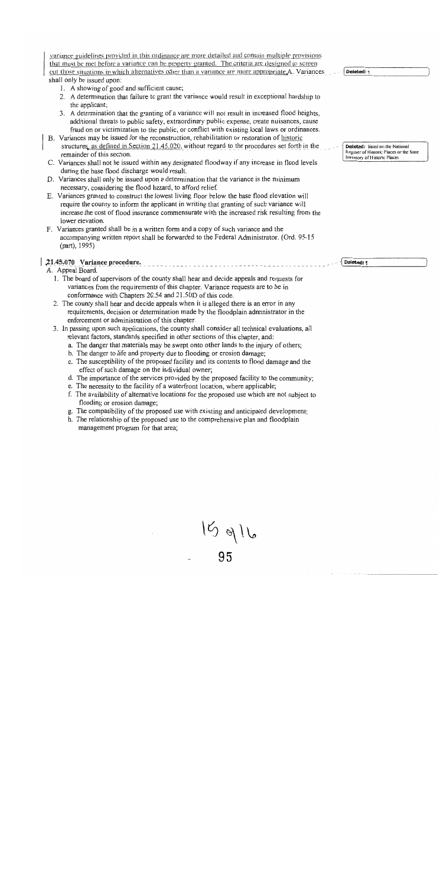variance guidelines provided in this ordinance are more detailed and contain multiple provisions that must be met before a variance can be property granted. The criteria are designed to screen out those situations in which alternatives other than a variance are more appropriate A. Variances shall only be issued upon:

- 1. A showing of good and sufficient cause;
- 2. A determination that failure to grant the variance would result in exceptional hardship to the applicant;
- 3. A determination that the granting of a variance will not result in increased flood heights. additional threats to public safety, extraordinary public expense, create nuisances, cause fraud on or victimization to the public, or conflict with existing local laws or ordinances.
- B. Variances may be issued for the reconstruction, rehabilitation or restoration of historic structures, as defined in Section 21.45.020, without regard to the procedures set forth in the remainder of this section.
- C. Variances shall not be issued within any designated floodway if any increase in flood levels during the base flood discharge would result.
- D. Variances shall only be issued upon a determination that the variance is the minimum necessary, considering the flood hazard, to afford relief.
- E. Variances granted to construct the lowest living floor below the base flood elevation will require the county to inform the applicant in writing that granting of such variance will increase the cost of flood insurance commensurate with the increased risk resulting from the lower elevation.
- F. Variances granted shall be in a written form and a copy of such variance and the accompanying written report shall be forwarded to the Federal Administrator. (Ord. 95-15)  $(part), 1995)$

#### 21.45.070 Variance procedure.

### A. Appeal Board.

- 1. The board of supervisors of the county shall hear and decide appeals and requests for variances from the requirements of this chapter. Variance requests are to be in conformance with Chapters 20.54 and 21.50D of this code.
- 2. The county shall hear and decide appeals when it is alleged there is an error in any requirements, decision or determination made by the floodplain administrator in the enforcement or administration of this chapter.
- 3. In passing upon such applications, the county shall consider all technical evaluations, all relevant factors, standards specified in other sections of this chapter, and:
	- a. The danger that materials may be swept onto other lands to the injury of others;
	- b. The danger to life and property due to flooding or erosion damage;
	- c. The susceptibility of the proposed facility and its contents to flood damage and the effect of such damage on the individual owner;
	- d. The importance of the services provided by the proposed facility to the community;
	- e. The necessity to the facility of a waterfront location, where applicable;
	- f. The availability of alternative locations for the proposed use which are not subject to flooding or erosion damage;
	- g. The compatibility of the proposed use with existing and anticipated development;
	- h. The relationship of the proposed use to the comprehensive plan and floodplain management program for that area;

 $15916$ 

Deleted: listed on the National Register of Historic Places or the State Inventory of Historic Places

Deleted: 9

Deleted: 1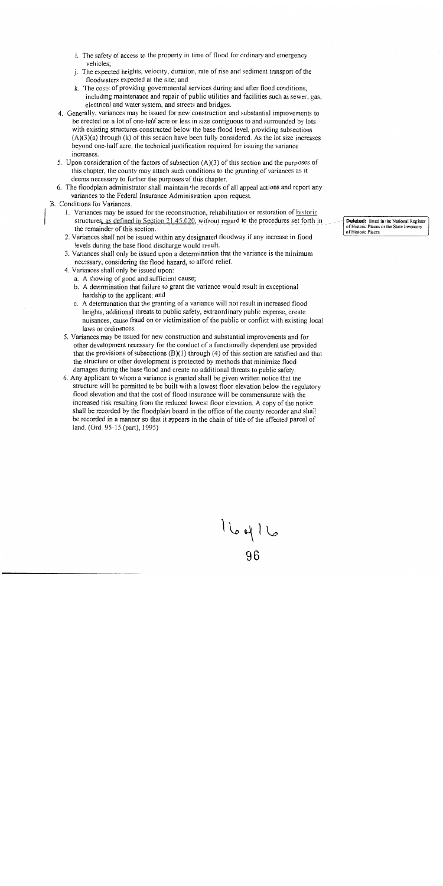- i. The safety of access to the property in time of flood for ordinary and emergency vehicles:
- j. The expected heights, velocity, duration, rate of rise and sediment transport of the floodwaters expected at the site; and
- k. The costs of providing governmental services during and after flood conditions, including maintenance and repair of public utilities and facilities such as sewer, gas, electrical and water system, and streets and bridges.
- 4. Generally, variances may be issued for new construction and substantial improvements to be erected on a lot of one-half acre or less in size contiguous to and surrounded by lots with existing structures constructed below the base flood level, providing subsections  $(A)(3)(a)$  through  $(k)$  of this section have been fully considered. As the lot size increases beyond one-half acre, the technical justification required for issuing the variance increases.
- 5. Upon consideration of the factors of subsection  $(A)(3)$  of this section and the purposes of this chapter, the county may attach such conditions to the granting of variances as it deems necessary to further the purposes of this chapter.
- 6. The floodplain administrator shall maintain the records of all appeal actions and report any variances to the Federal Insurance Administration upon request.
- B. Conditions for Variances.
	- 1. Variances may be issued for the reconstruction, rehabilitation or restoration of historic structures, as defined in Section 21.45.020, without regard to the procedures set forth in the remainder of this section.
	- 2. Variances shall not be issued within any designated floodway if any increase in flood levels during the base flood discharge would result.
	- 3. Variances shall only be issued upon a determination that the variance is the minimum necessary, considering the flood hazard, to afford relief.
	- 4. Variances shall only be issued upon:
		- a. A showing of good and sufficient cause;
		- b. A determination that failure to grant the variance would result in exceptional hardship to the applicant; and
		- c. A determination that the granting of a variance will not result in increased flood heights, additional threats to public safety, extraordinary public expense, create nuisances, cause fraud on or victimization of the public or conflict with existing local laws or ordinances.
	- 5. Variances may be issued for new construction and substantial improvements and for other development necessary for the conduct of a functionally dependent use provided that the provisions of subsections  $(B)(1)$  through  $(4)$  of this section are satisfied and that the structure or other development is protected by methods that minimize flood damages during the base flood and create no additional threats to public safety.
	- 6. Any applicant to whom a variance is granted shall be given written notice that the structure will be permitted to be built with a lowest floor elevation below the regulatory flood elevation and that the cost of flood insurance will be commensurate with the increased risk resulting from the reduced lowest floor elevation. A copy of the notice shall be recorded by the floodplain board in the office of the county recorder and shall be recorded in a manner so that it appears in the chain of title of the affected parcel of land. (Ord. 95-15 (part), 1995)

 $16916$ <br>96

Deleted: listed in the National Register of Historic Places or the State Inventory of Historic Places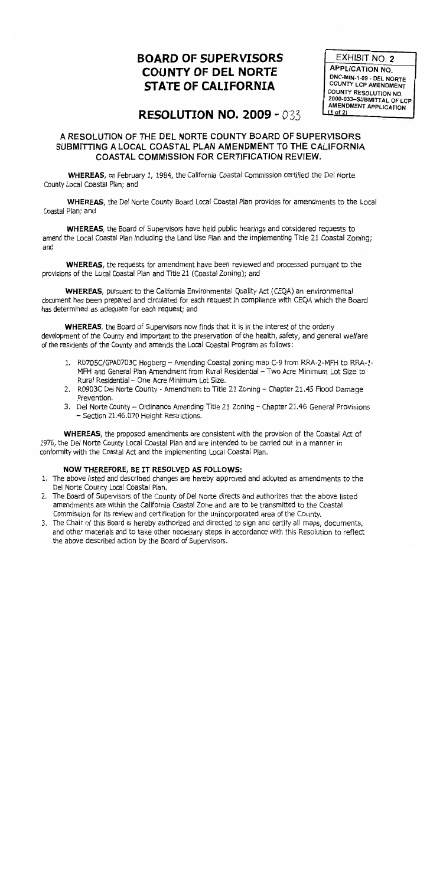# **BOARD OF SUPERVISORS COUNTY OF DEL NORTE STATE OF CALIFORNIA**

EXHIBIT NO. 2 **APPLICATION NO.** DNC-MIN-1-09 - DEL NORTE **COUNTY LCP AMENDMENT** COUNTY RESOLUTION NO. 2000-033-SUBMITTAL OF LCP **AMENDMENT APPLICATION**  $(1$  of 2)

# **RESOLUTION NO. 2009 - 033**

# A RESOLUTION OF THE DEL NORTE COUNTY BOARD OF SUPERVISORS SUBMITTING A LOCAL COASTAL PLAN AMENDMENT TO THE CALIFORNIA **COASTAL COMMISSION FOR CERTIFICATION REVIEW.**

WHEREAS, on February 1, 1984, the California Coastal Commission certified the Del Norte County Local Coastal Plan; and

**WHEREAS**, the Del Norte County Board Local Coastal Plan provides for amendments to the Local Coastal Plan; and

WHEREAS, the Board of Supervisors have held public hearings and considered requests to amend the Local Coastal Plan including the Land Use Plan and the implementing Title 21 Coastal Zoning; and

**WHEREAS**, the requests for amendment have been reviewed and processed pursuant to the provisions of the Local Coastal Plan and Title 21 (Coastal Zoning); and

**WHEREAS**, pursuant to the California Environmental Quality Act (CEQA) an environmental document has been prepared and circulated for each request in compliance with CEOA which the Board has determined as adequate for each request; and

WHEREAS, the Board of Supervisors now finds that it is in the interest of the orderly development of the County and important to the preservation of the health, safety, and general welfare of the residents of the County and amends the Local Coastal Program as follows:

- 1. R0705C/GPA0703C Hogberg Amending Coastal zoning map C-9 from RRA-2-MFH to RRA-1-MFH and General Plan Amendment from Rural Residential - Two Acre Minimum Lot Size to Rural Residential - One Acre Minimum Lot Size.
- 2. R0903C Del Norte County Amendment to Title 21 Zoning Chapter 21.45 Flood Damage Prevention.
- 3. Del Norte County Ordinance Amending Title 21 Zoning Chapter 21.46 General Provisions - Section 21.46.070 Height Restrictions.

**WHEREAS**, the proposed amendments are consistent with the provision of the Coastal Act of 1976, the Del Norte County Local Coastal Plan and are intended to be carried out in a manner in conformity with the Coastal Act and the implementing Local Coastal Plan.

## NOW THEREFORE, BE IT RESOLVED AS FOLLOWS:

- 1. The above listed and described changes are hereby approved and adopted as amendments to the Del Norte County Local Coastal Plan.
- 2. The Board of Supervisors of the County of Del Norte directs and authorizes that the above listed amendments are within the California Coastal Zone and are to be transmitted to the Coastal Commission for its review and certification for the unincorporated area of the County.
- 3. The Chair of this Board is hereby authorized and directed to sign and certify all maps, documents, and other materials and to take other necessary steps in accordance with this Resolution to reflect the above described action by the Board of Supervisors.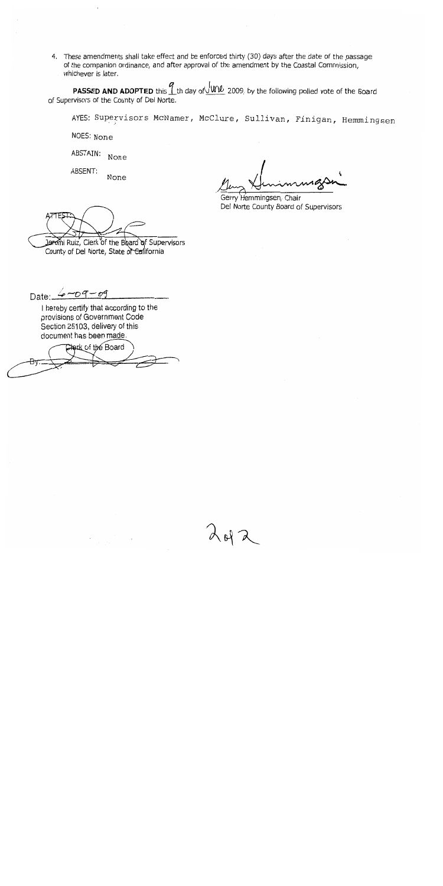4. These amendments shall take effect and be enforced thirty (30) days after the date of the passage of the companion ordinance, and after approval of the amendment by the Coastal Commission, whichever is later.

**PASSED AND ADOPTED** this 1th day of WW 2009, by the following polled vote of the Board of Supervisors of the County of Del Norte.

AYES: Supervisors McNamer, McClure, Sullivan, Finigan, Hemmingsen

NOES: None

ABSTAIN: None

ABSENT: None

Gerry Hemmingsen, Chair Del Norte County Board of Supervisors

Jeremi Ruiz, Clerk of the Board of Supervisors

County of Del Norte, State of California

Date:  $6 - 09 - 09$ 

I hereby certify that according to the provisions of Government Code Section 25103, delivery of this document has been made.

Clerk of the Board

 $40<sup>6</sup>$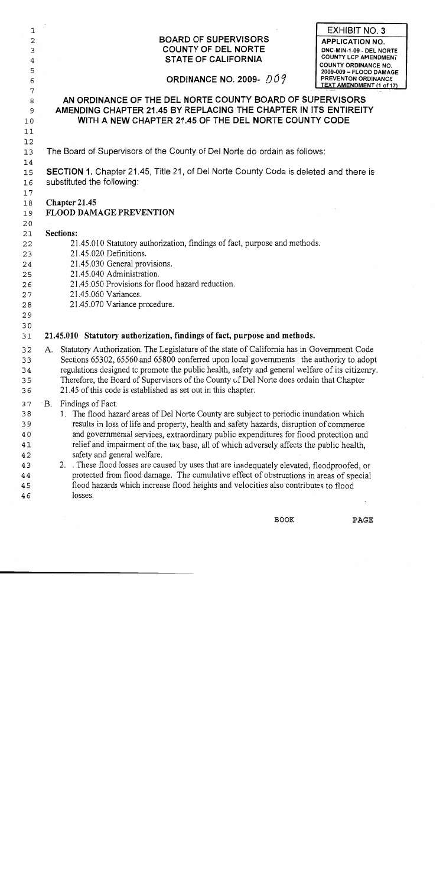| 1  |                                                                                                  | <b>EXHIBIT NO. 3</b>                                       |
|----|--------------------------------------------------------------------------------------------------|------------------------------------------------------------|
| 2  | <b>BOARD OF SUPERVISORS</b>                                                                      | <b>APPLICATION NO.</b>                                     |
| 3  | <b>COUNTY OF DEL NORTE</b>                                                                       | DNC-MIN-1-09 - DEL NORTE                                   |
| 4  | <b>STATE OF CALIFORNIA</b>                                                                       | <b>COUNTY LCP AMENDMENT</b><br><b>COUNTY ORDINANCE NO.</b> |
| 5  |                                                                                                  | 2009-009 - FLOOD DAMAGE                                    |
| 6  | ORDINANCE NO. 2009- $009$                                                                        | <b>PREVENTON ORDINANCE</b><br>TEXT AMENDMENT (1 of 17)     |
| 7  |                                                                                                  |                                                            |
| 8  | AN ORDINANCE OF THE DEL NORTE COUNTY BOARD OF SUPERVISORS                                        |                                                            |
| 9  | AMENDING CHAPTER 21.45 BY REPLACING THE CHAPTER IN ITS ENTIREITY                                 |                                                            |
| 10 | WITH A NEW CHAPTER 21.45 OF THE DEL NORTE COUNTY CODE                                            |                                                            |
| 11 |                                                                                                  |                                                            |
| 12 |                                                                                                  |                                                            |
| 13 | The Board of Supervisors of the County of Del Norte do ordain as follows:                        |                                                            |
| 14 |                                                                                                  |                                                            |
| 15 | <b>SECTION 1.</b> Chapter 21.45, Title 21, of Del Norte County Code is deleted and there is      |                                                            |
| 16 | substituted the following:                                                                       |                                                            |
| 17 |                                                                                                  |                                                            |
| 18 | Chapter 21.45                                                                                    |                                                            |
| 19 | <b>FLOOD DAMAGE PREVENTION</b>                                                                   |                                                            |
| 20 |                                                                                                  |                                                            |
| 21 | Sections:                                                                                        |                                                            |
| 22 | 21.45.010 Statutory authorization, findings of fact, purpose and methods.                        |                                                            |
| 23 | 21.45.020 Definitions.                                                                           |                                                            |
| 24 | 21.45.030 General provisions.                                                                    |                                                            |
| 25 | 21.45.040 Administration.                                                                        |                                                            |
| 26 | 21.45.050 Provisions for flood hazard reduction.                                                 |                                                            |
| 27 | 21.45.060 Variances.                                                                             |                                                            |
| 28 | 21.45.070 Variance procedure.                                                                    |                                                            |
| 29 |                                                                                                  |                                                            |
| 30 |                                                                                                  |                                                            |
| 31 | 21.45.010 Statutory authorization, findings of fact, purpose and methods.                        |                                                            |
| 32 | Statutory Authorization. The Legislature of the state of California has in Government Code<br>A. |                                                            |
| 33 | Sections 65302, 65560 and 65800 conferred upon local governments the authority to adopt          |                                                            |
| 34 | regulations designed to promote the public health, safety and general welfare of its citizenry.  |                                                            |
| 35 | Therefore, the Board of Supervisors of the County of Del Norte does ordain that Chapter          |                                                            |
| 36 | 21.45 of this code is established as set out in this chapter.                                    |                                                            |
| 37 | Findings of Fact.<br>$\cdot$ B.                                                                  |                                                            |
| 38 | 1. The flood hazard areas of Del Norte County are subject to periodic inundation which           |                                                            |
| 39 | results in loss of life and property, health and safety hazards, disruption of commerce          |                                                            |
| 40 | and governmental services, extraordinary public expenditures for flood protection and            |                                                            |
| 41 | relief and impairment of the tax base, all of which adversely affects the public health,         |                                                            |
| 42 | safety and general welfare.                                                                      |                                                            |
| 43 | 2. These flood losses are caused by uses that are inadequately elevated, floodproofed, or        |                                                            |
| 44 | protected from flood damage. The cumulative effect of obstructions in areas of special           |                                                            |
| 45 | flood hazards which increase flood heights and velocities also contributes to flood              |                                                            |
| 46 | losses.                                                                                          |                                                            |
|    |                                                                                                  |                                                            |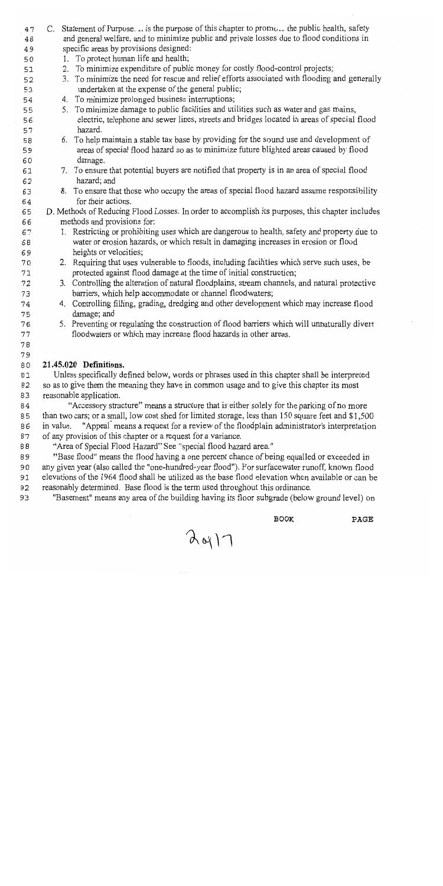- C. Statement of Purpose.  $\mu$  is the purpose of this chapter to promotor the public health, safety 47 and general welfare, and to minimize public and private losses due to flood conditions in 48 specific areas by provisions designed: 49
- 1. To protect human life and health; 50
- 2. To minimize expenditure of public money for costly flood-control projects; 51
- 3. To minimize the need for rescue and relief efforts associated with flooding and generally 52 undertaken at the expense of the general public; 53
	- 4. To minimize prolonged business interruptions;
- 5. To minimize damage to public facilities and utilities such as water and gas mains, 55 electric, telephone and sewer lines, streets and bridges located in areas of special flood 56 hazard. 57
- 6. To help maintain a stable tax base by providing for the sound use and development of 58 areas of special flood hazard so as to minimize future blighted areas caused by flood 59 damage. 60
	- 7. To ensure that potential buyers are notified that property is in an area of special flood hazard; and
		- 8. To ensure that those who occupy the areas of special flood hazard assume responsibility for their actions.
- D. Methods of Reducing Flood Losses. In order to accomplish its purposes, this chapter includes 65 methods and provisions for: 66
- 1. Restricting or prohibiting uses which are dangerous to health, safety and property due to 67 water or erosion hazards, or which result in damaging increases in erosion or flood 68 heights or velocities: 69
	- 2. Requiring that uses vulnerable to floods, including facilities which serve such uses, be protected against flood damage at the time of initial construction;
	- 3. Controlling the alteration of natural floodplains, stream channels, and natural protective barriers, which help accommodate or channel floodwaters;
		- 4. Controlling filling, grading, dredging and other development which may increase flood damage; and
		- 5. Preventing or regulating the construction of flood barriers which will unnaturally divert floodwaters or which may increase flood hazards in other areas.
- $77$ 78 79

88

54

61

62 63

64

70

 $71$ 72

73

74

75

76

#### 21.45.020 Definitions. 80

Unless specifically defined below, words or phrases used in this chapter shall be interpreted 81 so as to give them the meaning they have in common usage and to give this chapter its most 82 reasonable application. 83

"Accessory structure" means a structure that is either solely for the parking of no more 84 than two cars; or a small, low cost shed for limited storage, less than 150 square feet and \$1,500 85 86 in value. "Appeal" means a request for a review of the floodplain administrator's interpretation of any provision of this chapter or a request for a variance. 87

"Area of Special Flood Hazard" See "special flood hazard area."

"Base flood" means the flood having a one percent chance of being equalled or exceeded in 89 any given year (also called the "one-hundred-year flood"). For surfacewater runoff, known flood 90 elevations of the 1964 flood shall be utilized as the base flood elevation when available or can be 91 reasonably determined. Base flood is the term used throughout this ordinance. 92

93 "Basement" means any area of the building having its floor subgrade (below ground level) on

**BOOK** 

 $A_{01}$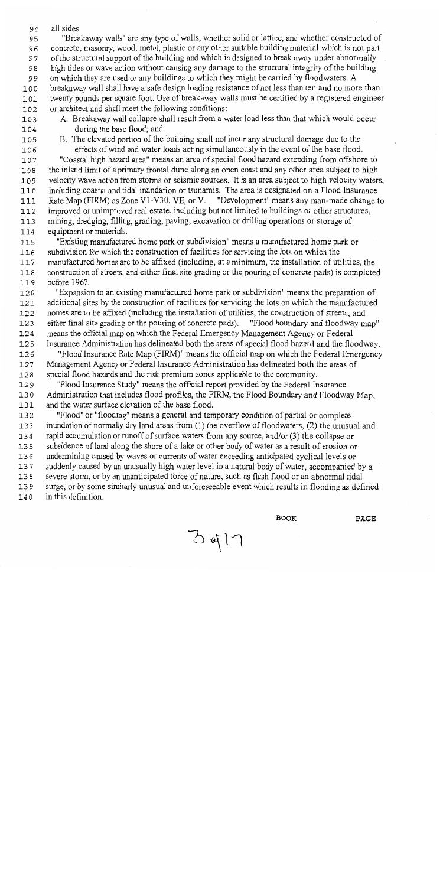all sides. 94

"Breakaway walls" are any type of walls, whether solid or lattice, and whether constructed of 95

concrete, masonry, wood, metal, plastic or any other suitable building material which is not part 96

- of the structural support of the building and which is designed to break away under abnormally 97
- high tides or wave action without causing any damage to the structural integrity of the building 98
- on which they are used or any buildings to which they might be carried by floodwaters. A 99
- breakaway wall shall have a safe design loading resistance of not less than ten and no more than 100 twenty pounds per square foot. Use of breakaway walls must be certified by a registered engineer 101 or architect and shall meet the following conditions: 102
- 103
- A. Breakaway wall collapse shall result from a water load less than that which would occur during the base flood; and 104
- 105

B. The elevated portion of the building shall not incur any structural damage due to the effects of wind and water loads acting simultaneously in the event of the base flood. 106

"Coastal high hazard area" means an area of special flood hazard extending from offshore to 107 the inland limit of a primary frontal dune along an open coast and any other area subject to high 108 velocity wave action from storms or seismic sources. It is an area subject to high velocity waters, 109 including coastal and tidal inundation or tsunamis. The area is designated on a Flood Insurance  $110$ Rate Map (FIRM) as Zone V1-V30, VE, or V. "Development" means any man-made change to 111 improved or unimproved real estate, including but not limited to buildings or other structures, 112

- mining, dredging, filling, grading, paving, excavation or drilling operations or storage of  $113$
- 114 equipment or materials.

"Existing manufactured home park or subdivision" means a manufactured home park or 115

subdivision for which the construction of facilities for servicing the lots on which the 116

manufactured homes are to be affixed (including, at a minimum, the installation of utilities, the 117 construction of streets, and either final site grading or the pouring of concrete pads) is completed  $118$ before 1967. 119

"Expansion to an existing manufactured home park or subdivision" means the preparation of 120 additional sites by the construction of facilities for servicing the lots on which the manufactured 121 122 homes are to be affixed (including the installation of utilities, the construction of streets, and either final site grading or the pouring of concrete pads). "Flood boundary and floodway map" 123

- means the official map on which the Federal Emergency Management Agency or Federal 124
- Insurance Administration has delineated both the areas of special flood hazard and the floodway. 125 "Flood Insurance Rate Map (FIRM)" means the official map on which the Federal Emergency 126 Management Agency or Federal Insurance Administration has delineated both the areas of 127
- special flood hazards and the risk premium zones applicable to the community.  $128$

"Flood Insurance Study" means the official report provided by the Federal Insurance 129 130 Administration that includes flood profiles, the FIRM, the Flood Boundary and Floodway Map, and the water surface elevation of the base flood. 131

"Flood" or "flooding" means a general and temporary condition of partial or complete 132 inundation of normally dry land areas from (1) the overflow of floodwaters, (2) the unusual and 133 rapid accumulation or runoff of surface waters from any source, and/or (3) the collapse or 134 135 subsidence of land along the shore of a lake or other body of water as a result of erosion or undermining caused by waves or currents of water exceeding anticipated cyclical levels or 136 suddenly caused by an unusually high water level in a natural body of water, accompanied by a 137 severe storm, or by an unanticipated force of nature, such as flash flood or an abnormal tidal  $138$ 139 surge, or by some similarly unusual and unforeseeable event which results in flooding as defined in this definition. 140

 $3417$ 

**BOOK**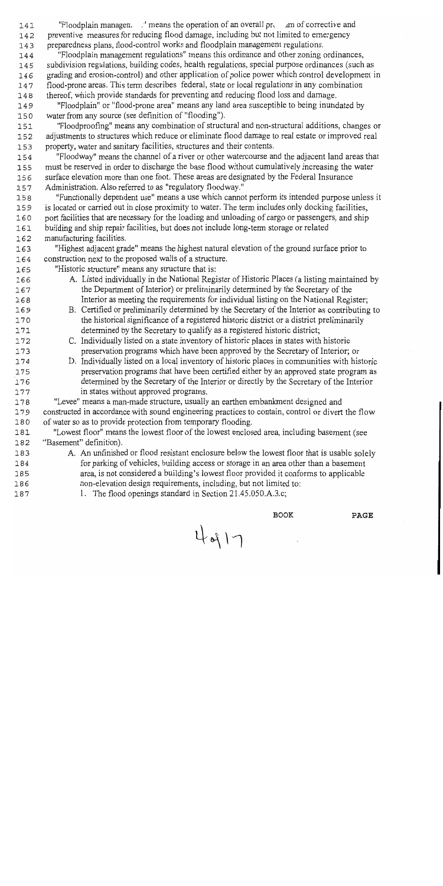"Floodplain managen.  $\mu$ " means the operation of an overall product and resort corrective and 141 preventive measures for reducing flood damage, including but not limited to emergency  $142$ preparedness plans, flood-control works and floodplain management regulations. 143

"Floodplain management regulations" means this ordinance and other zoning ordinances, 144 subdivision regulations, building codes, health regulations, special purpose ordinances (such as 145 grading and erosion-control) and other application of police power which control development in 146 flood-prone areas. This term describes federal, state or local regulations in any combination 147 thereof, which provide standards for preventing and reducing flood loss and damage. 148

"Floodplain" or "flood-prone area" means any land area susceptible to being inundated by 149 water from any source (see definition of "flooding"). 150

"Floodproofing" means any combination of structural and non-structural additions, changes or 151 adjustments to structures which reduce or eliminate flood damage to real estate or improved real 152 property, water and sanitary facilities, structures and their contents. 153

"Floodway" means the channel of a river or other watercourse and the adjacent land areas that 154 must be reserved in order to discharge the base flood without cumulatively increasing the water 155 surface elevation more than one foot. These areas are designated by the Federal Insurance 156 Administration. Also referred to as "regulatory floodway." 157

"Functionally dependent use" means a use which cannot perform its intended purpose unless it 158 is located or carried out in close proximity to water. The term includes only docking facilities, 159 port facilities that are necessary for the loading and unloading of cargo or passengers, and ship 160 building and ship repair facilities, but does not include long-term storage or related 161 manufacturing facilities. 162

"Highest adjacent grade" means the highest natural elevation of the ground surface prior to 163 construction next to the proposed walls of a structure. 164

"Historic structure" means any structure that is:

165

169

170

171

172

173

174

175

176

177

183

184 185

186

187

- A. Listed individually in the National Register of Historic Places (a listing maintained by 166 the Department of Interior) or preliminarily determined by the Secretary of the 167 Interior as meeting the requirements for individual listing on the National Register. 168
	- B. Certified or preliminarily determined by the Secretary of the Interior as contributing to the historical significance of a registered historic district or a district preliminarily determined by the Secretary to qualify as a registered historic district;
		- C. Individually listed on a state inventory of historic places in states with historic preservation programs which have been approved by the Secretary of Interior: or
	- D. Individually listed on a local inventory of historic places in communities with historic preservation programs that have been certified either by an approved state program as determined by the Secretary of the Interior or directly by the Secretary of the Interior in states without approved programs.

178 "Levee" means a man-made structure, usually an earthen embankment designed and constructed in accordance with sound engineering practices to contain, control or divert the flow 179 of water so as to provide protection from temporary flooding. 180

"Lowest floor" means the lowest floor of the lowest enclosed area, including basement (see 181 "Basement" definition). 182

A. An unfinished or flood resistant enclosure below the lowest floor that is usable solely for parking of vehicles, building access or storage in an area other than a basement area, is not considered a building's lowest floor provided it conforms to applicable non-elevation design requirements, including, but not limited to:

4917

1. The flood openings standard in Section 21.45.050.A.3.c;

**BOOK**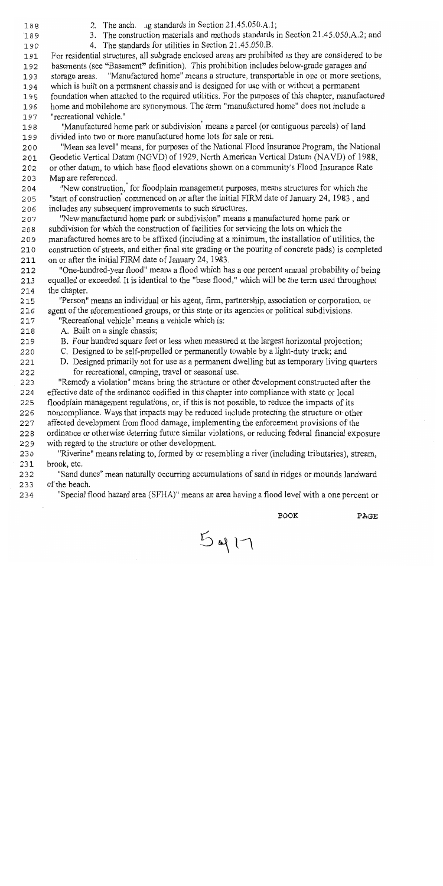- 188  $189$
- 2. The anch, ig standards in Section 21.45.050.A.1;
- 3. The construction materials and methods standards in Section 21.45.050.A.2; and
- 4. The standards for utilities in Section 21.45.050.B.

190 For residential structures, all subgrade enclosed areas are prohibited as they are considered to be 191 basements (see "Basement" definition). This prohibition includes below-grade garages and 192 storage areas. "Manufactured home" means a structure, transportable in one or more sections, 193 which is built on a permanent chassis and is designed for use with or without a permanent 194 foundation when attached to the required utilities. For the purposes of this chapter, manufactured 195 home and mobilehome are synonymous. The term "manufactured home" does not include a 196 "recreational vehicle." 197

"Manufactured home park or subdivision<sup>"</sup> means a parcel (or contiguous parcels) of land 198 divided into two or more manufactured home lots for sale or rent. 199

"Mean sea level" means, for purposes of the National Flood Insurance Program, the National 200 Geodetic Vertical Datum (NGVD) of 1929, North American Vertical Datum (NAVD) of 1988. 201 or other datum, to which base flood elevations shown on a community's Flood Insurance Rate 202 Map are referenced. 203

"New construction," for floodplain management purposes, means structures for which the 204 "start of construction<sup>"</sup> commenced on or after the initial FIRM date of January 24, 1983, and 205 includes any subsequent improvements to such structures. 206

"New manufactured home park or subdivision" means a manufactured home park or 207 subdivision for which the construction of facilities for servicing the lots on which the 208

manufactured homes are to be affixed (including at a minimum, the installation of utilities, the 209

construction of streets, and either final site grading or the pouring of concrete pads) is completed 210 on or after the initial FIRM date of January 24, 1983. 211

"One-hundred-year flood" means a flood which has a one percent annual probability of being 212 213 equalled or exceeded. It is identical to the "base flood," which will be the term used throughout 214 the chapter.

"Person" means an individual or his agent, firm, partnership, association or corporation, or 215 agent of the aforementioned groups, or this state or its agencies or political subdivisions. 216

"Recreational vehicle" means a vehicle which is: 217

A. Built on a single chassis; 218

221

222

- B. Four hundred square feet or less when measured at the largest horizontal projection: 219
- C. Designed to be self-propelled or permanently towable by a light-duty truck; and 220
	- D. Designed primarily not for use as a permanent dwelling but as temporary living quarters for recreational, camping, travel or seasonal use.

223 "Remedy a violation" means bring the structure or other development constructed after the effective date of the ordinance codified in this chapter into compliance with state or local 224 225 floodplain management regulations, or, if this is not possible, to reduce the impacts of its

noncompliance. Ways that impacts may be reduced include protecting the structure or other 226

- affected development from flood damage, implementing the enforcement provisions of the 227
- ordinance or otherwise deterring future similar violations, or reducing federal financial exposure 228 229 with regard to the structure or other development.
- 230 "Riverine" means relating to, formed by or resembling a river (including tributaries), stream, brook, etc. 231
- "Sand dunes" mean naturally occurring accumulations of sand in ridges or mounds landward 232 of the beach. 233
- 234 "Special flood hazard area (SFHA)" means an area having a flood level with a one percent or

 $5917$ 

**BOOK**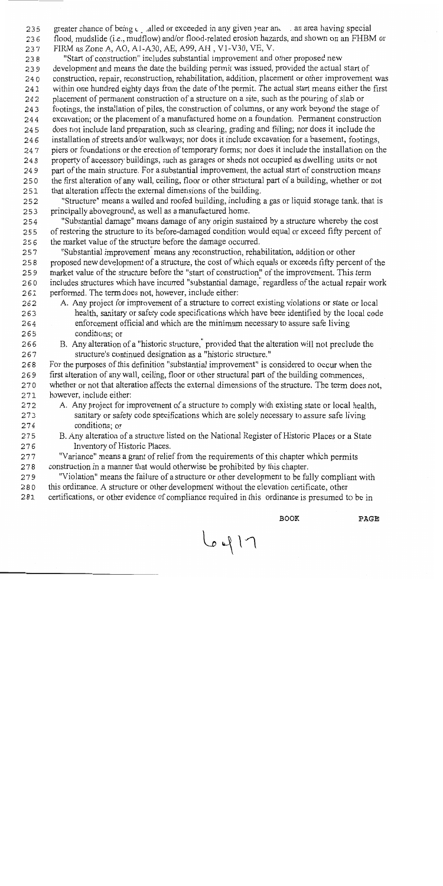greater chance of being  $\epsilon_{\text{u}}$  alled or exceeded in any given year an. an area having special  $235$ flood, mudslide (i.e., mudflow) and/or flood-related erosion hazards, and shown on an FHBM or 236 FIRM as Zone A, AO, A1-A30, AE, A99, AH, V1-V30, VE, V. 237

"Start of construction" includes substantial improvement and other proposed new 238 development and means the date the building permit was issued, provided the actual start of 239 construction, repair, reconstruction, rehabilitation, addition, placement or other improvement was 240 within one hundred eighty days from the date of the permit. The actual start means either the first 241 placement of permanent construction of a structure on a site, such as the pouring of slab or 242 footings, the installation of piles, the construction of columns, or any work beyond the stage of 243 excavation; or the placement of a manufactured home on a foundation. Permanent construction 244 does not include land preparation, such as clearing, grading and filling; nor does it include the 245 installation of streets and/or walkways; nor does it include excavation for a basement, footings, 246 piers or foundations or the erection of temporary forms; nor does it include the installation on the 247 property of accessory buildings, such as garages or sheds not occupied as dwelling units or not 248 part of the main structure. For a substantial improvement, the actual start of construction means 249 the first alteration of any wall, ceiling, floor or other structural part of a building, whether or not 250 that alteration affects the external dimensions of the building.  $251$ 

"Structure" means a walled and roofed building, including a gas or liquid storage tank, that is 252 principally aboveground, as well as a manufactured home. 253

"Substantial damage" means damage of any origin sustained by a structure whereby the cost 254 of restoring the structure to its before-damaged condition would equal or exceed fifty percent of 255 the market value of the structure before the damage occurred. 256

"Substantial improvement<sup>"</sup> means any reconstruction, rehabilitation, addition or other 257 proposed new development of a structure, the cost of which equals or exceeds fifty percent of the 258 market value of the structure before the "start of construction" of the improvement. This term 259 includes structures which have incurred "substantial damage," regardless of the actual repair work 260 performed. The term does not, however, include either: 261

- A. Any project for improvement of a structure to correct existing violations or state or local 262 health, sanitary or safety code specifications which have been identified by the local code 263 enforcement official and which are the minimum necessary to assure safe living 264 conditions; or 265
- B. Any alteration of a "historic structure," provided that the alteration will not preclude the 266 structure's continued designation as a "historic structure." 267

For the purposes of this definition "substantial improvement" is considered to occur when the 268 first alteration of any wall, ceiling, floor or other structural part of the building commences. 269 whether or not that alteration affects the external dimensions of the structure. The term does not, 270 however, include either:  $271$ 

- A. Any project for improvement of a structure to comply with existing state or local health. 272 sanitary or safety code specifications which are solely necessary to assure safe living 273 conditions; or 274
- B. Any alteration of a structure listed on the National Register of Historic Places or a State 275 276 Inventory of Historic Places.

"Variance" means a grant of relief from the requirements of this chapter which permits 277 construction in a manner that would otherwise be prohibited by this chapter. 278

"Violation" means the failure of a structure or other development to be fully compliant with 279 280 this ordinance. A structure or other development without the elevation certificate, other

certifications, or other evidence of compliance required in this ordinance is presumed to be in 281

 $L_{\rho}$ 417

**BOOK**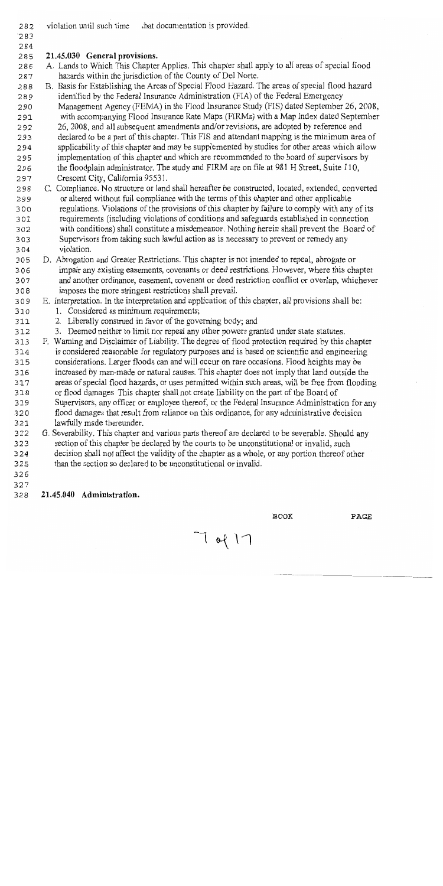- violation until such time that documentation is provided. 282
- $283$

# 284

#### 21.45.030 General provisions. 285

- A. Lands to Which This Chapter Applies. This chapter shall apply to all areas of special flood 286 hazards within the jurisdiction of the County of Del Norte. 287
- B. Basis for Establishing the Areas of Special Flood Hazard. The areas of special flood hazard 288 identified by the Federal Insurance Administration (FIA) of the Federal Emergency 289
- Management Agency (FEMA) in the Flood Insurance Study (FIS) dated September 26, 2008, 290
- with accompanying Flood Insurance Rate Maps (FIRMs) with a Map Index dated September 291
- 26, 2008, and all subsequent amendments and/or revisions, are adopted by reference and 292
- declared to be a part of this chapter. This FIS and attendant mapping is the minimum area of 293 applicability of this chapter and may be supplemented by studies for other areas which allow 294 implementation of this chapter and which are recommended to the board of supervisors by 295 the floodplain administrator. The study and FIRM are on file at 981 H Street, Suite 110, 296
- Crescent City, California 95531. 297
- C. Compliance. No structure or land shall hereafter be constructed, located, extended, converted 298 or altered without full compliance with the terms of this chapter and other applicable 299 regulations. Violations of the provisions of this chapter by failure to comply with any of its 300 requirements (including violations of conditions and safeguards established in connection 301 with conditions) shall constitute a misdemeanor. Nothing herein shall prevent the Board of 302 Supervisors from taking such lawful action as is necessary to prevent or remedy any 303 violation. 304
- D. Abrogation and Greater Restrictions. This chapter is not intended to repeal, abrogate or 305 impair any existing easements, covenants or deed restrictions. However, where this chapter 306 and another ordinance, easement, covenant or deed restriction conflict or overlap, whichever 307 imposes the more stringent restrictions shall prevail. 308
- E. Interpretation. In the interpretation and application of this chapter, all provisions shall be: 309
- 1. Considered as minimum requirements; 310
- 2. Liberally construed in favor of the governing body; and 311
- 3. Deemed neither to limit nor repeal any other powers granted under state statutes. 312
- F. Warning and Disclaimer of Liability. The degree of flood protection required by this chapter 313 is considered reasonable for regulatory purposes and is based on scientific and engineering 314 considerations. Larger floods can and will occur on rare occasions. Flood heights may be 315 increased by man-made or natural causes. This chapter does not imply that land outside the 316 areas of special flood hazards, or uses permitted within such areas, will be free from flooding 317 or flood damages. This chapter shall not create liability on the part of the Board of 318
- Supervisors, any officer or employee thereof, or the Federal Insurance Administration for any 319 flood damages that result from reliance on this ordinance, for any administrative decision 320 lawfully made thereunder. 321
- G. Severability. This chapter and various parts thereof are declared to be severable. Should any 322 323 section of this chapter be declared by the courts to be unconstitutional or invalid, such 324 decision shall not affect the validity of the chapter as a whole, or any portion thereof other

 $7917$ 

- than the section so declared to be unconstitutional or invalid.  $325$
- 326

# 327

#### 21.45.040 Administration. 328

**BOOK**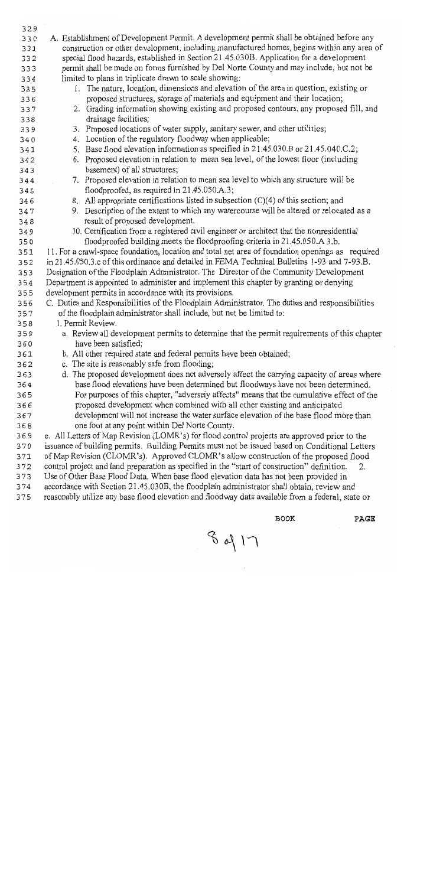| 329 |                                                                                                    |
|-----|----------------------------------------------------------------------------------------------------|
| 330 | A. Establishment of Development Permit. A development permit shall be obtained before any          |
| 331 | construction or other development, including manufactured homes, begins within any area of         |
| 332 | special flood hazards, established in Section 21.45.030B. Application for a development            |
| 333 | permit shall be made on forms furnished by Del Norte County and may include, but not be            |
| 334 | limited to plans in triplicate drawn to scale showing:                                             |
| 335 | 1. The nature, location, dimensions and elevation of the area in question, existing or             |
| 336 | proposed structures, storage of materials and equipment and their location;                        |
| 337 | 2. Grading information showing existing and proposed contours, any proposed fill, and              |
| 338 | drainage facilities;                                                                               |
| 339 | 3. Proposed locations of water supply, sanitary sewer, and other utilities;                        |
| 340 | 4. Location of the regulatory floodway when applicable;                                            |
| 341 | 5. Base flood elevation information as specified in 21.45.030.B or 21.45.040.C.2;                  |
| 342 | 6. Proposed elevation in relation to mean sea level, of the lowest floor (including                |
| 343 | basement) of all structures;                                                                       |
| 344 | 7. Proposed elevation in relation to mean sea level to which any structure will be                 |
| 345 | floodproofed, as required in 21.45.050.A.3;                                                        |
| 346 | 8. All appropriate certifications listed in subsection $(C)(4)$ of this section; and               |
| 347 | 9. Description of the extent to which any watercourse will be altered or relocated as a            |
| 348 | result of proposed development.                                                                    |
| 349 | 10. Certification from a registered civil engineer or architect that the nonresidential            |
| 350 | floodproofed building meets the floodproofing criteria in 21.45.050.A.3.b.                         |
| 351 | 11. For a crawl-space foundation, location and total net area of foundation openings as required   |
| 352 | in 21.45.050.3.c of this ordinance and detailed in FEMA Technical Bulletins 1-93 and 7-93.B.       |
| 353 | Designation of the Floodplain Administrator. The Director of the Community Development             |
| 354 | Department is appointed to administer and implement this chapter by granting or denying            |
| 355 | development permits in accordance with its provisions.                                             |
| 356 | C. Duties and Responsibilities of the Floodplain Administrator. The duties and responsibilities    |
| 357 | of the floodplain administrator shall include, but not be limited to:                              |
| 358 | 1. Permit Review.                                                                                  |
| 359 | a. Review all development permits to determine that the permit requirements of this chapter        |
| 360 | have been satisfied;                                                                               |
| 361 | b. All other required state and federal permits have been obtained;                                |
| 362 | c. The site is reasonably safe from flooding;                                                      |
| 363 | d. The proposed development does not adversely affect the carrying capacity of areas where         |
| 364 | base flood elevations have been determined but floodways have not been determined.                 |
| 365 | For purposes of this chapter, "adversely affects" means that the cumulative effect of the          |
| 366 | proposed development when combined with all other existing and anticipated                         |
| 367 | development will not increase the water surface elevation of the base flood more than              |
| 368 | one foot at any point within Del Norte County.                                                     |
| 369 | e. All Letters of Map Revision (LOMR's) for flood control projects are approved prior to the       |
| 370 | issuance of building permits. Building Permits must not be issued based on Conditional Letters     |
| 371 | of Map Revision (CLOMR's). Approved CLOMR's allow construction of the proposed flood               |
| 372 | control project and land preparation as specified in the "start of construction" definition.<br>2. |
| 373 | Use of Other Base Flood Data. When base flood elevation data has not been provided in              |
| 374 | accordance with Section 21.45.030B, the floodplain administrator shall obtain, review and          |
| 375 | reasonably utilize any base flood elevation and floodway data available from a federal, state or   |
|     |                                                                                                    |
|     | <b>BOOK</b><br>PAGE                                                                                |

 $8417$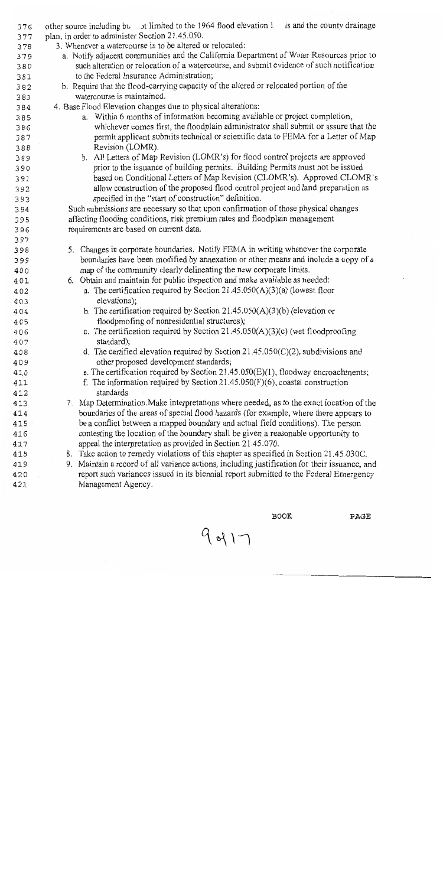| 376        | other source including bu st limited to the 1964 flood elevation 1 is and the county drainage     |  |  |
|------------|---------------------------------------------------------------------------------------------------|--|--|
| 377        | plan, in order to administer Section 21.45.050.                                                   |  |  |
| 378        | 3. Whenever a watercourse is to be altered or relocated:                                          |  |  |
| 379        | a. Notify adjacent communities and the California Department of Water Resources prior to          |  |  |
| 380        | such alteration or relocation of a watercourse, and submit evidence of such notification          |  |  |
| 381        | to the Federal Insurance Administration;                                                          |  |  |
| 382        | b. Require that the flood-carrying capacity of the altered or relocated portion of the            |  |  |
| 383        | watercourse is maintained.                                                                        |  |  |
| 384        | 4. Base Flood Elevation changes due to physical alterations:                                      |  |  |
| 385        | a. Within 6 months of information becoming available or project completion,                       |  |  |
| 386        | whichever comes first, the floodplain administrator shall submit or assure that the               |  |  |
| 387        | permit applicant submits technical or scientific data to FEMA for a Letter of Map                 |  |  |
| 388        | Revision (LOMR).                                                                                  |  |  |
| 389        | b. All Letters of Map Revision (LOMR's) for flood control projects are approved                   |  |  |
| 390        | prior to the issuance of building permits. Building Permits must not be issued                    |  |  |
| 391        | based on Conditional Letters of Map Revision (CLOMR's). Approved CLOMR's                          |  |  |
| 392        | allow construction of the proposed flood control project and land preparation as                  |  |  |
| 393        | specified in the "start of construction" definition.                                              |  |  |
| 394        | Such submissions are necessary so that upon confirmation of those physical changes                |  |  |
| 395        | affecting flooding conditions, risk premium rates and floodplain management                       |  |  |
| 396        | requirements are based on current data.                                                           |  |  |
| 397        |                                                                                                   |  |  |
| 398        | 5. Changes in corporate boundaries. Notify FEMA in writing whenever the corporate                 |  |  |
| 399        | boundaries have been modified by annexation or other means and include a copy of a                |  |  |
| 400        | map of the community clearly delineating the new corporate limits.                                |  |  |
| 401        | 6. Obtain and maintain for public inspection and make available as needed:                        |  |  |
| 402        | a. The certification required by Section $21.45.050(A)(3)(a)$ (lowest floor                       |  |  |
| 403        | elevations);                                                                                      |  |  |
| 404        | b. The certification required by Section 21.45.050(A)(3)(b) (elevation or                         |  |  |
| 405        | floodproofing of nonresidential structures);                                                      |  |  |
| 406        | c. The certification required by Section 21.45.050(A)(3)(c) (wet floodproofing                    |  |  |
| 407        | standard);<br>d. The certified elevation required by Section $21.45.050(C)(2)$ , subdivisions and |  |  |
| 408        | other proposed development standards;                                                             |  |  |
| 409        | e. The certification required by Section $21.45.050(E)(1)$ , floodway encroachments;              |  |  |
| 410<br>411 | f. The information required by Section $21.45.050(F)(6)$ , coastal construction                   |  |  |
| 412        | standards.                                                                                        |  |  |
| 413        | Map Determination. Make interpretations where needed, as to the exact location of the<br>7.       |  |  |
| 414        | boundaries of the areas of special flood hazards (for example, where there appears to             |  |  |
| 415        | be a conflict between a mapped boundary and actual field conditions). The person                  |  |  |
| 416        | contesting the location of the boundary shall be given a reasonable opportunity to                |  |  |
| 417        | appeal the interpretation as provided in Section 21.45.070.                                       |  |  |
| 418        | 8. Take action to remedy violations of this chapter as specified in Section 21.45.030C.           |  |  |
| 419        | 9. Maintain a record of all variance actions, including justification for their issuance, and     |  |  |
| 420        | report such variances issued in its biennial report submitted to the Federal Emergency            |  |  |
| 421        | Management Agency.                                                                                |  |  |
|            |                                                                                                   |  |  |

 $\tt BOOK$ 

 $9017$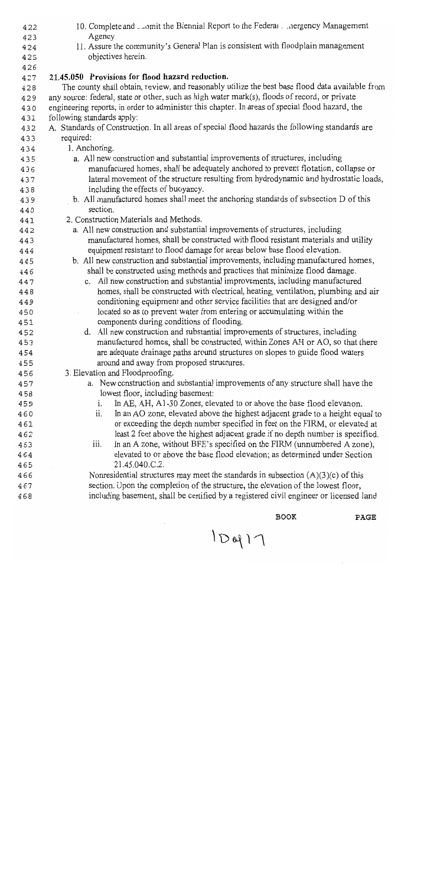| 422        | 10. Complete and comit the Biennial Report to the Federal conergency Management                                               |
|------------|-------------------------------------------------------------------------------------------------------------------------------|
| 423        | Agency.                                                                                                                       |
| 424        | 11. Assure the community's General Plan is consistent with floodplain management                                              |
| 425        | objectives herein.                                                                                                            |
| 426        |                                                                                                                               |
| 427        | 21.45.050 Provisions for flood hazard reduction.                                                                              |
| 428        | The county shall obtain, review, and reasonably utilize the best base flood data available from                               |
| 429        | any source: federal, state or other, such as high water mark(s), floods of record, or private                                 |
| 430        | engineering reports, in order to administer this chapter. In areas of special flood hazard, the                               |
| 431        | following standards apply:<br>A. Standards of Construction. In all areas of special flood hazards the following standards are |
| 432        | required:                                                                                                                     |
| 433        | 1. Anchoring.                                                                                                                 |
| 434        | a. All new construction and substantial improvements of structures, including                                                 |
| 435        | manufactured homes, shall be adequately anchored to prevent flotation, collapse or                                            |
| 436        | lateral movement of the structure resulting from hydrodynamic and hydrostatic loads,                                          |
| 437        | including the effects of buoyancy.                                                                                            |
| 438<br>439 | b. All manufactured homes shall meet the anchoring standards of subsection D of this                                          |
| 440        | section.                                                                                                                      |
| 441        | 2. Construction Materials and Methods.                                                                                        |
| 442        | a. All new construction and substantial improvements of structures, including                                                 |
| 443        | manufactured homes, shall be constructed with flood resistant materials and utility                                           |
| 444        | equipment resistant to flood damage for areas below base flood elevation.                                                     |
| 445        | b. All new construction and substantial improvements, including manufactured homes,                                           |
| 446        | shall be constructed using methods and practices that minimize flood damage.                                                  |
| 447        | c. All new construction and substantial improvements, including manufactured                                                  |
| 448        | homes, shall be constructed with electrical, heating, ventilation, plumbing and air                                           |
| 449        | conditioning equipment and other service facilities that are designed and/or                                                  |
| 450        | located so as to prevent water from entering or accumulating within the                                                       |
| 451        | components during conditions of flooding.                                                                                     |
| 452        | d. All new construction and substantial improvements of structures, including                                                 |
| 453        | manufactured homes, shall be constructed, within Zones AH or AO, so that there                                                |
| 454        | are adequate drainage paths around structures on slopes to guide flood waters                                                 |
| 455        | around and away from proposed structures.                                                                                     |
| 456        | 3. Elevation and Floodproofing.                                                                                               |
| 457        | a. New construction and substantial improvements of any structure shall have the                                              |
| 458        | lowest floor, including basement:                                                                                             |
| 459        | In AE, AH, A1-30 Zones, elevated to or above the base flood elevation.<br>$\mathbf{i}$ .                                      |
| 460        | In an AO zone, elevated above the highest adjacent grade to a height equal to<br>ii.                                          |
| 461        | or exceeding the depth number specified in feet on the FIRM, or elevated at                                                   |
| 462        | least 2 feet above the highest adjacent grade if no depth number is specified.                                                |
| 463        | In an A zone, without BFE's specified on the FIRM (unnumbered A zone),<br>iii.                                                |
| 464        | elevated to or above the base flood elevation; as determined under Section<br>21.45.040.C.2.                                  |
| 465<br>466 | Nonresidential structures may meet the standards in subsection $(A)(3)(c)$ of this                                            |
| 467        | section. Upon the completion of the structure, the elevation of the lowest floor,                                             |
| 468        | including basement, shall be certified by a registered civil engineer or licensed land                                        |
|            |                                                                                                                               |
|            |                                                                                                                               |

 $1D917$ 

 $\tt BOOK$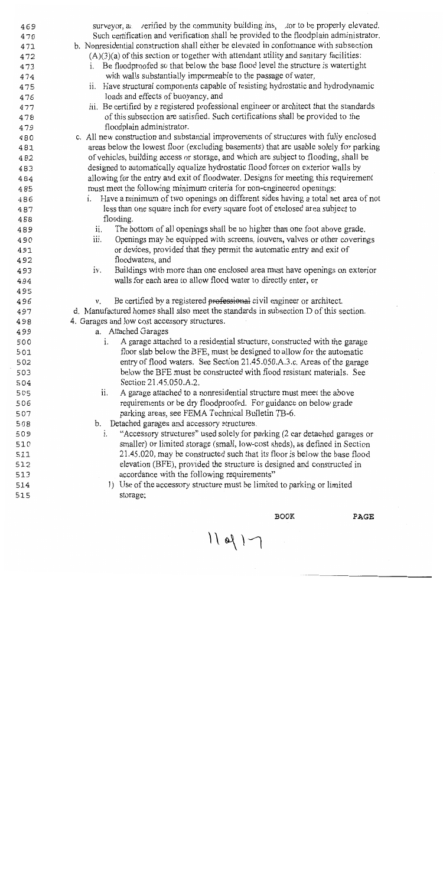| 469 | surveyor, a verified by the community building ins. tor to be properly elevated.        |
|-----|-----------------------------------------------------------------------------------------|
| 470 | Such certification and verification shall be provided to the floodplain administrator.  |
| 471 | b. Nonresidential construction shall either be elevated in conformance with subsection  |
| 472 | $(A)(3)(a)$ of this section or together with attendant utility and sanitary facilities: |
| 473 | i. Be floodproofed so that below the base flood level the structure is watertight       |
| 474 | with walls substantially impermeable to the passage of water,                           |
| 475 | ii. Have structural components capable of resisting hydrostatic and hydrodynamic        |
| 476 | loads and effects of buoyancy, and                                                      |
| 477 | iii. Be certified by a registered professional engineer or architect that the standards |
| 478 | of this subsection are satisfied. Such certifications shall be provided to the          |
| 479 | floodplain administrator.                                                               |
| 480 | c. All new construction and substantial improvements of structures with fully enclosed  |
| 481 | areas below the lowest floor (excluding basements) that are usable solely for parking   |
| 482 | of vehicles, building access or storage, and which are subject to flooding, shall be    |
| 483 | designed to automatically equalize hydrostatic flood forces on exterior walls by        |
| 484 | allowing for the entry and exit of floodwater. Designs for meeting this requirement     |
| 485 | must meet the following minimum criteria for non-engineered openings:                   |
| 486 | i. Have a minimum of two openings on different sides having a total net area of not     |
| 487 | less than one square inch for every square foot of enclosed area subject to             |
| 488 | flooding.                                                                               |
| 489 | The bottom of all openings shall be no higher than one foot above grade.<br>ii.         |
| 490 | Openings may be equipped with screens, louvers, valves or other coverings<br>iii.       |
| 491 | or devices, provided that they permit the automatic entry and exit of                   |
| 492 | floodwaters, and                                                                        |
| 493 | Buildings with more than one enclosed area must have openings on exterior<br>iv.        |
| 494 | walls for each area to allow flood water to directly enter, or                          |
| 495 |                                                                                         |
| 496 | Be certified by a registered professional civil engineer or architect.<br>V.            |
| 497 | d. Manufactured homes shall also meet the standards in subsection D of this section.    |
| 498 | 4. Garages and low cost accessory structures.                                           |
| 499 | a. Attached Garages                                                                     |
| 500 | A garage attached to a residential structure, constructed with the garage               |
| 501 | floor slab below the BFE, must be designed to allow for the automatic                   |
| 502 | entry of flood waters. See Section 21.45.050.A.3.c. Areas of the garage                 |
| 503 | below the BFE must be constructed with flood resistant materials. See                   |
| 504 | Section 21.45.050.A.2.                                                                  |
| 505 | A garage attached to a nonresidential structure must meet the above<br>ii.              |
| 506 | requirements or be dry floodproofed. For guidance on below grade                        |
| 507 | parking areas, see FEMA Technical Bulletin TB-6.                                        |
| 508 | Detached garages and accessory structures.<br>b.                                        |
| 509 | "Accessory structures" used solely for parking (2 car detached garages or<br>i.         |
| 510 | smaller) or limited storage (small, low-cost sheds), as defined in Section              |
| 511 | 21.45.020, may be constructed such that its floor is below the base flood               |
| 512 | elevation (BFE), provided the structure is designed and constructed in                  |
| 513 | accordance with the following requirements"                                             |
| 514 | 1) Use of the accessory structure must be limited to parking or limited                 |
| 515 | storage;                                                                                |
|     |                                                                                         |

 $\overline{BOOK}$ 

 $11$  of  $1$ 

 $\mathcal{L}_{\mathbf{a}}$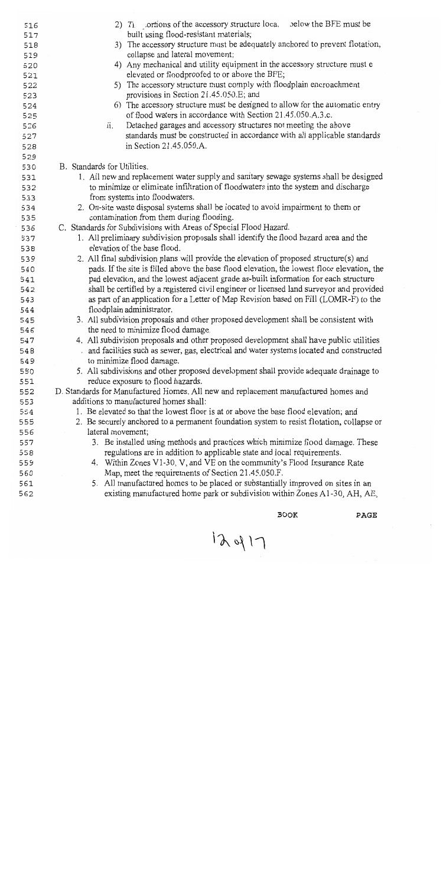| 516        | 2) Ti ortions of the accessory structure loca, below the BFE must be                                                           |
|------------|--------------------------------------------------------------------------------------------------------------------------------|
| 517        | built using flood-resistant materials;                                                                                         |
| 518        | 3) The accessory structure must be adequately anchored to prevent flotation,<br>collapse and lateral movement;                 |
| 519<br>520 | 4) Any mechanical and utility equipment in the accessory structure must e                                                      |
| 521        | elevated or floodproofed to or above the BFE;                                                                                  |
| 522        | 5) The accessory structure must comply with floodplain encroachment                                                            |
| 523        | provisions in Section 21.45.050.E; and                                                                                         |
| 524        | 6) The accessory structure must be designed to allow for the automatic entry                                                   |
| 525        | of flood waters in accordance with Section 21.45.050.A.3.c.                                                                    |
| 526        | Detached garages and accessory structures not meeting the above<br>ii.                                                         |
| 527        | standards must be constructed in accordance with all applicable standards                                                      |
| 528        | in Section 21.45.050.A.                                                                                                        |
| 529        |                                                                                                                                |
| 530        | B. Standards for Utilities.<br>1. All new and replacement water supply and sanitary sewage systems shall be designed           |
| 531<br>532 | to minimize or eliminate infiltration of floodwaters into the system and discharge                                             |
| 533        | from systems into floodwaters.                                                                                                 |
| 534        | 2. On-site waste disposal systems shall be located to avoid impairment to them or                                              |
| 535        | contamination from them during flooding.                                                                                       |
| 536        | C. Standards for Subdivisions with Areas of Special Flood Hazard.                                                              |
| 537        | 1. All preliminary subdivision proposals shall identify the flood hazard area and the                                          |
| 538        | elevation of the base flood.                                                                                                   |
| 539        | 2. All final subdivision plans will provide the elevation of proposed structure(s) and                                         |
| 540        | pads. If the site is filled above the base flood elevation, the lowest floor elevation, the                                    |
| 541        | pad elevation, and the lowest adjacent grade as-built information for each structure                                           |
| 542        | shall be certified by a registered civil engineer or licensed land surveyor and provided                                       |
| 543        | as part of an application for a Letter of Map Revision based on Fill (LOMR-F) to the                                           |
| 544        | floodplain administrator.                                                                                                      |
| 545<br>546 | 3. All subdivision proposals and other proposed development shall be consistent with<br>the need to minimize flood damage.     |
| 547        | 4. All subdivision proposals and other proposed development shall have public utilities                                        |
| 548        | and facilities such as sewer, gas, electrical and water systems located and constructed                                        |
| 549        | to minimize flood damage.                                                                                                      |
| 550        | 5. All subdivisions and other proposed development shall provide adequate drainage to                                          |
| 551        | reduce exposure to flood hazards.                                                                                              |
| 552        | D. Standards for Manufactured Homes. All new and replacement manufactured homes and                                            |
| 553        | additions to manufactured homes shall:                                                                                         |
| 554        | 1. Be elevated so that the lowest floor is at or above the base flood elevation; and                                           |
| 555        | 2. Be securely anchored to a permanent foundation system to resist flotation, collapse or                                      |
| 556        | lateral movement;                                                                                                              |
| 557        | 3. Be installed using methods and practices which minimize flood damage. These                                                 |
| 558        | regulations are in addition to applicable state and local requirements.                                                        |
| 559        | 4. Within Zones V1-30, V, and VE on the community's Flood Insurance Rate<br>Map, meet the requirements of Section 21.45.050.F. |
| 560<br>561 | 5. All manufactured homes to be placed or substantially improved on sites in an                                                |
| 562        | existing manufactured home park or subdivision within Zones A1-30, AH, AE,                                                     |
|            |                                                                                                                                |

 $12417$ 

 $\tt BOOK$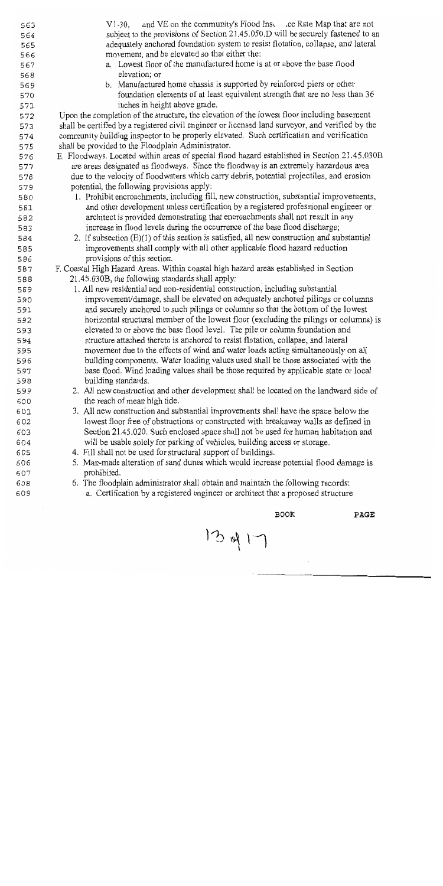| 563        | and VE on the community's Flood Ins. .ce Rate Map that are not<br>$V1-30$ ,                                                                                                |
|------------|----------------------------------------------------------------------------------------------------------------------------------------------------------------------------|
| 564        | subject to the provisions of Section 21.45.050.D will be securely fastened to an                                                                                           |
| 565        | adequately anchored foundation system to resist flotation, collapse, and lateral                                                                                           |
| 566        | movement, and be elevated so that either the:                                                                                                                              |
| 567        | a. Lowest floor of the manufactured home is at or above the base flood                                                                                                     |
| 568        | elevation; or                                                                                                                                                              |
| 569        | b. Manufactured home chassis is supported by reinforced piers or other                                                                                                     |
| 570        | foundation elements of at least equivalent strength that are no less than 36                                                                                               |
| 571        | inches in height above grade.                                                                                                                                              |
| 572        | Upon the completion of the structure, the elevation of the lowest floor including basement                                                                                 |
| 573        | shall be certified by a registered civil engineer or licensed land surveyor, and verified by the                                                                           |
| 574        | community building inspector to be properly elevated. Such certification and verification                                                                                  |
| 575        | shall be provided to the Floodplain Administrator.                                                                                                                         |
| 576        | E. Floodways. Located within areas of special flood hazard established in Section 21.45.030B                                                                               |
| 577        | are areas designated as floodways. Since the floodway is an extremely hazardous area                                                                                       |
| 578        | due to the velocity of floodwaters which carry debris, potential projectiles, and erosion                                                                                  |
| 579        | potential, the following provisions apply:                                                                                                                                 |
| 580        | 1. Prohibit encroachments, including fill, new construction, substantial improvements,                                                                                     |
| 581        | and other development unless certification by a registered professional engineer or                                                                                        |
| 582        | architect is provided demonstrating that encroachments shall not result in any                                                                                             |
| 583        | increase in flood levels during the occurrence of the base flood discharge;                                                                                                |
| 584        | 2. If subsection $(E)(1)$ of this section is satisfied, all new construction and substantial                                                                               |
| 585        | improvements shall comply with all other applicable flood hazard reduction                                                                                                 |
| 586        | provisions of this section.                                                                                                                                                |
| 587        | F. Coastal High Hazard Areas. Within coastal high hazard areas established in Section                                                                                      |
| 588        | 21.45.030B, the following standards shall apply:                                                                                                                           |
| 589        | 1. All new residential and non-residential construction, including substantial                                                                                             |
| 590        | improvement/damage, shall be elevated on adequately anchored pilings or columns                                                                                            |
| 591        | and securely anchored to such pilings or columns so that the bottom of the lowest                                                                                          |
| 592        | horizontal structural member of the lowest floor (excluding the pilings or columns) is                                                                                     |
| 593        | elevated to or above the base flood level. The pile or column foundation and                                                                                               |
| 594        | structure attached thereto is anchored to resist flotation, collapse, and lateral                                                                                          |
| 595        | movement due to the effects of wind and water loads acting simultaneously on all                                                                                           |
| 596        | building components. Water loading values used shall be those associated with the                                                                                          |
| 597        | base flood. Wind loading values shall be those required by applicable state or local                                                                                       |
| 598        | building standards.                                                                                                                                                        |
| 599        | 2. All new construction and other development shall be located on the landward side of                                                                                     |
| 600        | the reach of mean high tide.                                                                                                                                               |
| 601        | 3. All new construction and substantial improvements shall have the space below the<br>lowest floor free of obstructions or constructed with breakaway walls as defined in |
| 602        |                                                                                                                                                                            |
| 603        | Section 21.45.020. Such enclosed space shall not be used for human habitation and                                                                                          |
| 604        | will be usable solely for parking of vehicles, building access or storage.                                                                                                 |
| 605        | 4. Fill shall not be used for structural support of buildings.                                                                                                             |
| 606        | 5. Man-made alteration of sand dunes which would increase potential flood damage is                                                                                        |
| 607        | prohibited.<br>6. The floodplain administrator shall obtain and maintain the following records:                                                                            |
| 608<br>609 | a. Certification by a registered engineer or architect that a proposed structure                                                                                           |
|            |                                                                                                                                                                            |
|            |                                                                                                                                                                            |

 $13917$ 

 $\tt BOOK$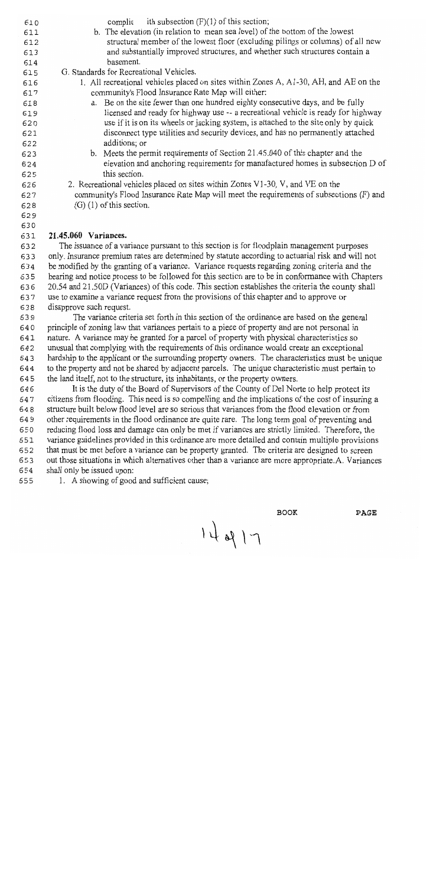| 610 | ith subsection $(F)(1)$ of this section;<br>complie                                                |
|-----|----------------------------------------------------------------------------------------------------|
| 611 | b. The elevation (in relation to mean sea level) of the bottom of the lowest                       |
| 612 | structural member of the lowest floor (excluding pilings or columns) of all new                    |
| 613 | and substantially improved structures, and whether such structures contain a                       |
| 614 | basement.                                                                                          |
| 615 | G. Standards for Recreational Vehicles.                                                            |
| 616 | 1. All recreational vehicles placed on sites within Zones A, A1-30, AH, and AE on the              |
| 617 | community's Flood Insurance Rate Map will either:                                                  |
| 618 | a. Be on the site fewer than one hundred eighty consecutive days, and be fully                     |
| 619 | licensed and ready for highway use -- a recreational vehicle is ready for highway                  |
| 620 | use if it is on its wheels or jacking system, is attached to the site only by quick                |
| 621 | disconnect type utilities and security devices, and has no permanently attached                    |
| 622 | additions; or                                                                                      |
| 623 | b. Meets the permit requirements of Section 21.45.040 of this chapter and the                      |
| 624 | elevation and anchoring requirements for manufactured homes in subsection D of                     |
| 625 | this section.                                                                                      |
| 626 | 2. Recreational vehicles placed on sites within Zones V1-30, V, and VE on the                      |
| 627 | community's Flood Insurance Rate Map will meet the requirements of subsections (F) and             |
| 628 | $(G)$ (1) of this section.                                                                         |
| 629 |                                                                                                    |
| 630 |                                                                                                    |
| 631 | 21.45.060 Variances.                                                                               |
| 632 | The issuance of a variance pursuant to this section is for floodplain management purposes          |
| 633 | only. Insurance premium rates are determined by statute according to actuarial risk and will not   |
| 634 | be modified by the granting of a variance. Variance requests regarding zoning criteria and the     |
| 635 | hearing and notice process to be followed for this section are to be in conformance with Chapters  |
| 636 | 20.54 and 21.50D (Variances) of this code. This section establishes the criteria the county shall  |
| 637 | use to examine a variance request from the provisions of this chapter and to approve or            |
| 638 | disapprove such request.                                                                           |
| 639 | The variance criteria set forth in this section of the ordinance are based on the general          |
| 640 | principle of zoning law that variances pertain to a piece of property and are not personal in      |
| 641 | nature. A variance may be granted for a parcel of property with physical characteristics so        |
| 642 | unusual that complying with the requirements of this ordinance would create an exceptional         |
| 643 | hardship to the applicant or the surrounding property owners. The characteristics must be unique   |
| 644 | to the property and not be shared by adjacent parcels. The unique characteristic must pertain to   |
| 645 | the land itself, not to the structure, its inhabitants, or the property owners.                    |
| 646 | It is the duty of the Board of Supervisors of the County of Del Norte to help protect its          |
| 647 | citizens from flooding. This need is so compelling and the implications of the cost of insuring a  |
| 648 | structure built below flood level are so serious that variances from the flood elevation or from   |
| 649 | other requirements in the flood ordinance are quite rare. The long term goal of preventing and     |
| 650 | reducing flood loss and damage can only be met if variances are strictly limited. Therefore, the   |
| 651 | variance guidelines provided in this ordinance are more detailed and contain multiple provisions   |
| 652 | that must be met before a variance can be property granted. The criteria are designed to screen    |
| 653 | out those situations in which alternatives other than a variance are more appropriate.A. Variances |
| 654 | shall only be issued upon:                                                                         |
| 655 | 1. A showing of good and sufficient cause;                                                         |
|     |                                                                                                    |

**BOOK** 

 $14017$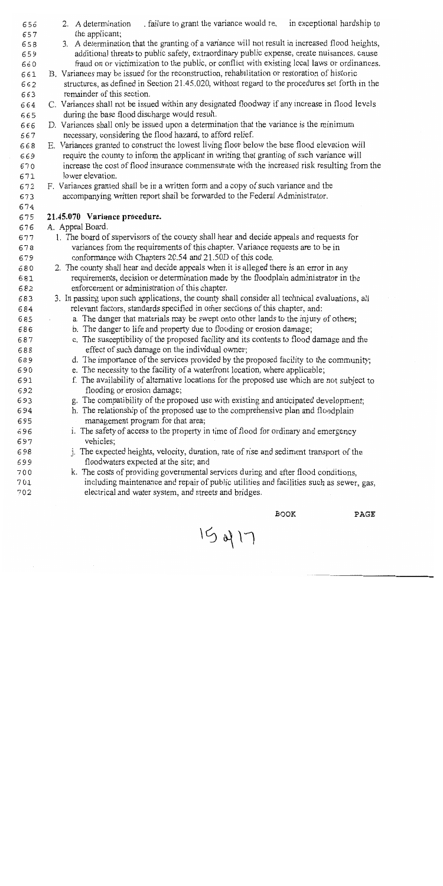| 656        | in exceptional hardship to<br>. failure to grant the variance would re.<br>2. A determination                                                                       |
|------------|---------------------------------------------------------------------------------------------------------------------------------------------------------------------|
| 657<br>658 | the applicant;<br>3. A determination that the granting of a variance will not result in increased flood heights,                                                    |
| 659        | additional threats to public safety, extraordinary public expense, create nuisances, cause                                                                          |
| 660        | fraud on or victimization to the public, or conflict with existing local laws or ordinances.                                                                        |
| 661        | B. Variances may be issued for the reconstruction, rehabilitation or restoration of historic                                                                        |
| 662        | structures, as defined in Section 21.45.020, without regard to the procedures set forth in the                                                                      |
| 663        | remainder of this section.                                                                                                                                          |
| 664        | C. Variances shall not be issued within any designated floodway if any increase in flood levels                                                                     |
| 665        | during the base flood discharge would result.                                                                                                                       |
| 666        | D. Variances shall only be issued upon a determination that the variance is the minimum                                                                             |
| 667        | necessary, considering the flood hazard, to afford relief.                                                                                                          |
| 668        | E. Variances granted to construct the lowest living floor below the base flood elevation will                                                                       |
| 669        | require the county to inform the applicant in writing that granting of such variance will                                                                           |
| 670        | increase the cost of flood insurance commensurate with the increased risk resulting from the                                                                        |
| 671        | lower elevation.                                                                                                                                                    |
| 672<br>673 | F. Variances granted shall be in a written form and a copy of such variance and the<br>accompanying written report shall be forwarded to the Federal Administrator. |
| 674        |                                                                                                                                                                     |
| 675        | 21.45.070 Variance procedure.                                                                                                                                       |
| 676        | A. Appeal Board.                                                                                                                                                    |
| 677        | 1. The board of supervisors of the county shall hear and decide appeals and requests for                                                                            |
| 678        | variances from the requirements of this chapter. Variance requests are to be in                                                                                     |
| 679        | conformance with Chapters 20.54 and 21.50D of this code.                                                                                                            |
| 680        | 2. The county shall hear and decide appeals when it is alleged there is an error in any                                                                             |
| 681        | requirements, decision or determination made by the floodplain administrator in the                                                                                 |
| 682        | enforcement or administration of this chapter.                                                                                                                      |
| 683        | 3. In passing upon such applications, the county shall consider all technical evaluations, all                                                                      |
| 684        | relevant factors, standards specified in other sections of this chapter, and:                                                                                       |
| 685        | a. The danger that materials may be swept onto other lands to the injury of others;                                                                                 |
| 686<br>687 | b. The danger to life and property due to flooding or erosion damage;<br>c. The susceptibility of the proposed facility and its contents to flood damage and the    |
| 688        | effect of such damage on the individual owner;                                                                                                                      |
| 689        | d. The importance of the services provided by the proposed facility to the community;                                                                               |
| 690        | e. The necessity to the facility of a waterfront location, where applicable;                                                                                        |
| 691        | f. The availability of alternative locations for the proposed use which are not subject to                                                                          |
| 692        | flooding or erosion damage;                                                                                                                                         |
| 693        | g. The compatibility of the proposed use with existing and anticipated development;                                                                                 |
| 694        | h. The relationship of the proposed use to the comprehensive plan and floodplain                                                                                    |
| 695        | management program for that area;                                                                                                                                   |
| 696        | i. The safety of access to the property in time of flood for ordinary and emergency                                                                                 |
| 697        | vehicles;                                                                                                                                                           |
| 698        | j. The expected heights, velocity, duration, rate of rise and sediment transport of the                                                                             |
| 699        | floodwaters expected at the site; and                                                                                                                               |
| 700        | k. The costs of providing governmental services during and after flood conditions,                                                                                  |
| 701<br>702 | including maintenance and repair of public utilities and facilities such as sewer, gas,<br>electrical and water system, and streets and bridges.                    |
|            |                                                                                                                                                                     |

**BOOK** 

 $15417$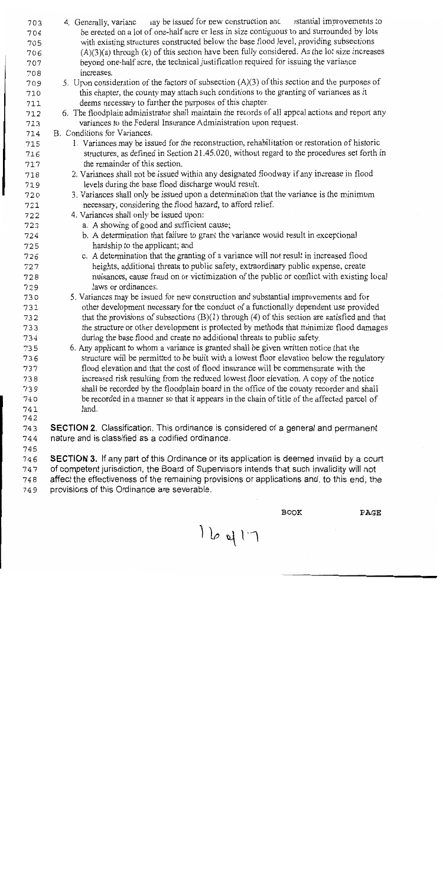| 703          | ay be issued for new construction and stantial improvements to<br>4. Generally, varianc          |
|--------------|--------------------------------------------------------------------------------------------------|
| 704          | be erected on a lot of one-half acre or less in size contiguous to and surrounded by lots        |
| 705          | with existing structures constructed below the base flood level, providing subsections           |
| 706          | $(A)(3)(a)$ through $(k)$ of this section have been fully considered. As the lot size increases  |
| 707          | beyond one-half acre, the technical justification required for issuing the variance              |
| 708          | increases.                                                                                       |
| 709          | 5. Upon consideration of the factors of subsection $(A)(3)$ of this section and the purposes of  |
| 710          | this chapter, the county may attach such conditions to the granting of variances as it           |
| 711          | deems necessary to further the purposes of this chapter.                                         |
| 712          | 6. The floodplain administrator shall maintain the records of all appeal actions and report any  |
| 713          | variances to the Federal Insurance Administration upon request.                                  |
| 714          | B. Conditions for Variances.                                                                     |
| 715          | 1. Variances may be issued for the reconstruction, rehabilitation or restoration of historic     |
| 716          | structures, as defined in Section 21.45.020, without regard to the procedures set forth in       |
| 717          | the remainder of this section.                                                                   |
| 718          | 2. Variances shall not be issued within any designated floodway if any increase in flood         |
| 719          | levels during the base flood discharge would result.                                             |
| 720          | 3. Variances shall only be issued upon a determination that the variance is the minimum          |
| 721          | necessary, considering the flood hazard, to afford relief.                                       |
| 722          | 4. Variances shall only be issued upon:                                                          |
| 723          | a. A showing of good and sufficient cause;                                                       |
| 724          | b. A determination that failure to grant the variance would result in exceptional                |
| 725          | hardship to the applicant; and                                                                   |
| 726          | c. A determination that the granting of a variance will not result in increased flood            |
| 727          | heights, additional threats to public safety, extraordinary public expense, create               |
| 728          | nuisances, cause fraud on or victimization of the public or conflict with existing local         |
| 729          | laws or ordinances.                                                                              |
| 730          | 5. Variances may be issued for new construction and substantial improvements and for             |
| 731          | other development necessary for the conduct of a functionally dependent use provided             |
| 732          | that the provisions of subsections $(B)(1)$ through $(4)$ of this section are satisfied and that |
| 733          | the structure or other development is protected by methods that minimize flood damages           |
| 734          | during the base flood and create no additional threats to public safety.                         |
| 735          | 6. Any applicant to whom a variance is granted shall be given written notice that the            |
| 736          | structure will be permitted to be built with a lowest floor elevation below the regulatory       |
| 737          | flood elevation and that the cost of flood insurance will be commensurate with the               |
| 738          | increased risk resulting from the reduced lowest floor elevation. A copy of the notice           |
| 739          | shall be recorded by the floodplain board in the office of the county recorder and shall         |
| 740          | be recorded in a manner so that it appears in the chain of title of the affected parcel of       |
| 741          | land.                                                                                            |
| 742          |                                                                                                  |
| 743          | <b>SECTION 2.</b> Classification. This ordinance is considered of a general and permanent        |
| 744          | nature and is classified as a codified ordinance.                                                |
| $H \wedge T$ |                                                                                                  |

745

SECTION 3. If any part of this Ordinance or its application is deemed invalid by a court 746 of competent jurisdiction, the Board of Supervisors intends that such invalidity will not 747 affect the effectiveness of the remaining provisions or applications and, to this end, the 748 provisions of this Ordinance are severable. 749

 $16417$ 

**BOOK**